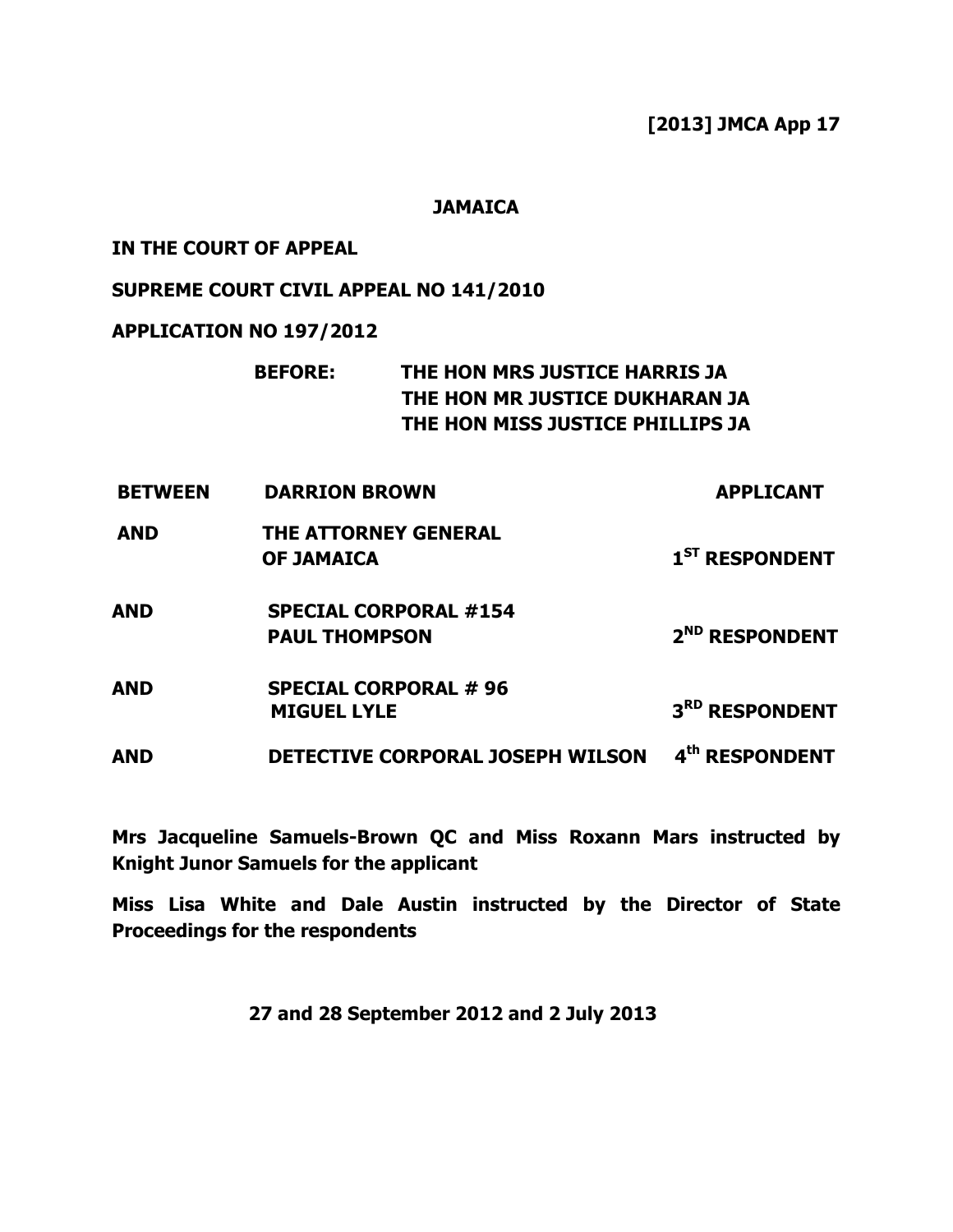[2013] JMCA App 17

## **JAMAICA**

## IN THE COURT OF APPEAL

## SUPREME COURT CIVIL APPEAL NO 141/2010

## APPLICATION NO 197/2012

# BEFORE: THE HON MRS JUSTICE HARRIS JA THE HON MR JUSTICE DUKHARAN JA THE HON MISS JUSTICE PHILLIPS JA

- BETWEEN DARRION BROWN APPLICANT
- AND THE ATTORNEY GENERAL OF JAMAICA 1<sup>ST</sup> RESPONDENT
- AND SPECIAL CORPORAL #154 PAUL THOMPSON 2<sup>ND</sup> RESPONDENT
- AND SPECIAL CORPORAL # 96 MIGUEL LYLE 3<sup>RD</sup> RESPONDENT

AND DETECTIVE CORPORAL JOSEPH WILSON 4th RESPONDENT

Mrs Jacqueline Samuels-Brown QC and Miss Roxann Mars instructed by Knight Junor Samuels for the applicant

Miss Lisa White and Dale Austin instructed by the Director of State Proceedings for the respondents

27 and 28 September 2012 and 2 July 2013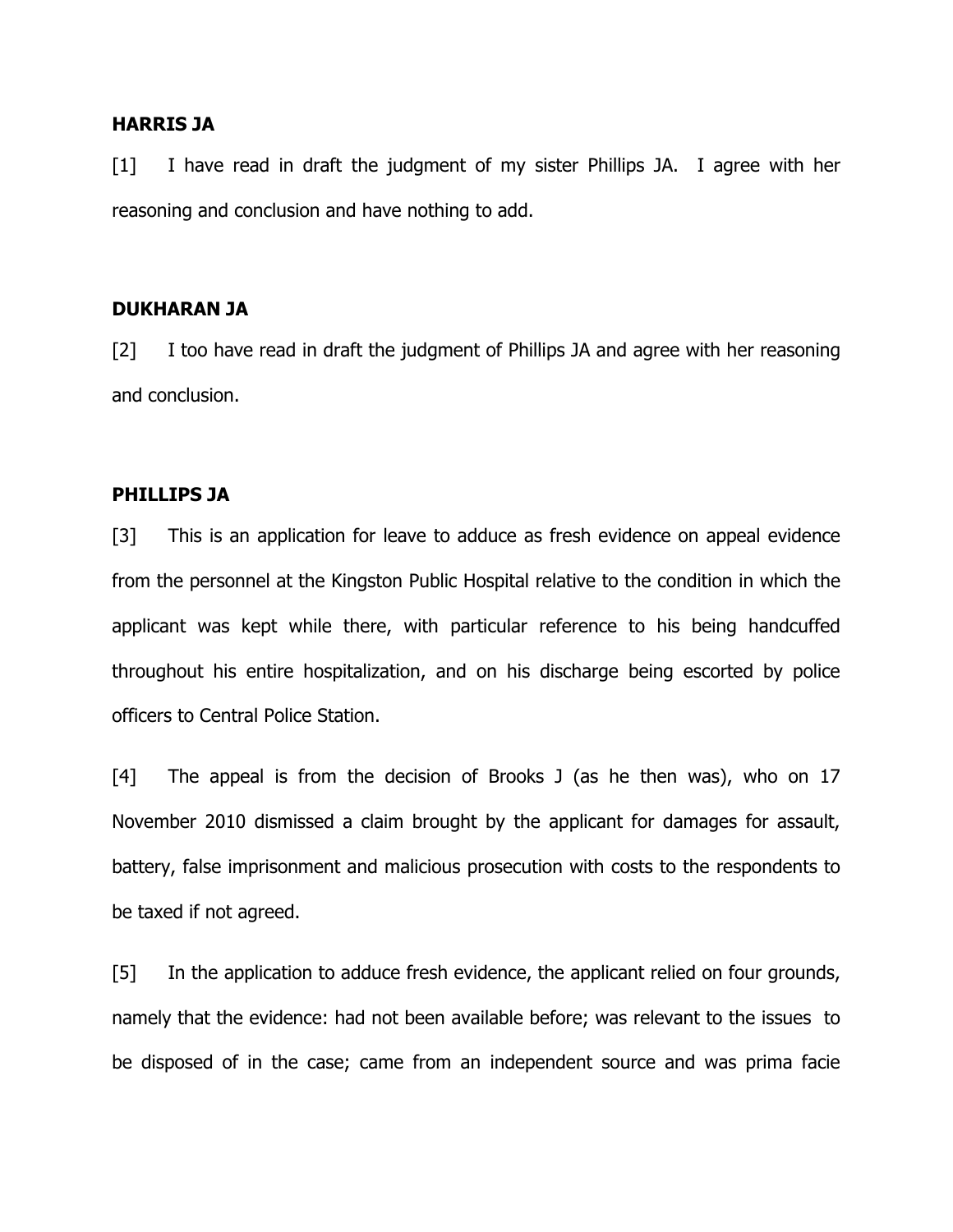## HARRIS JA

[1] I have read in draft the judgment of my sister Phillips JA. I agree with her reasoning and conclusion and have nothing to add.

## DUKHARAN JA

[2] I too have read in draft the judgment of Phillips JA and agree with her reasoning and conclusion.

### PHILLIPS JA

[3] This is an application for leave to adduce as fresh evidence on appeal evidence from the personnel at the Kingston Public Hospital relative to the condition in which the applicant was kept while there, with particular reference to his being handcuffed throughout his entire hospitalization, and on his discharge being escorted by police officers to Central Police Station.

[4] The appeal is from the decision of Brooks J (as he then was), who on 17 November 2010 dismissed a claim brought by the applicant for damages for assault, battery, false imprisonment and malicious prosecution with costs to the respondents to be taxed if not agreed.

[5] In the application to adduce fresh evidence, the applicant relied on four grounds, namely that the evidence: had not been available before; was relevant to the issues to be disposed of in the case; came from an independent source and was prima facie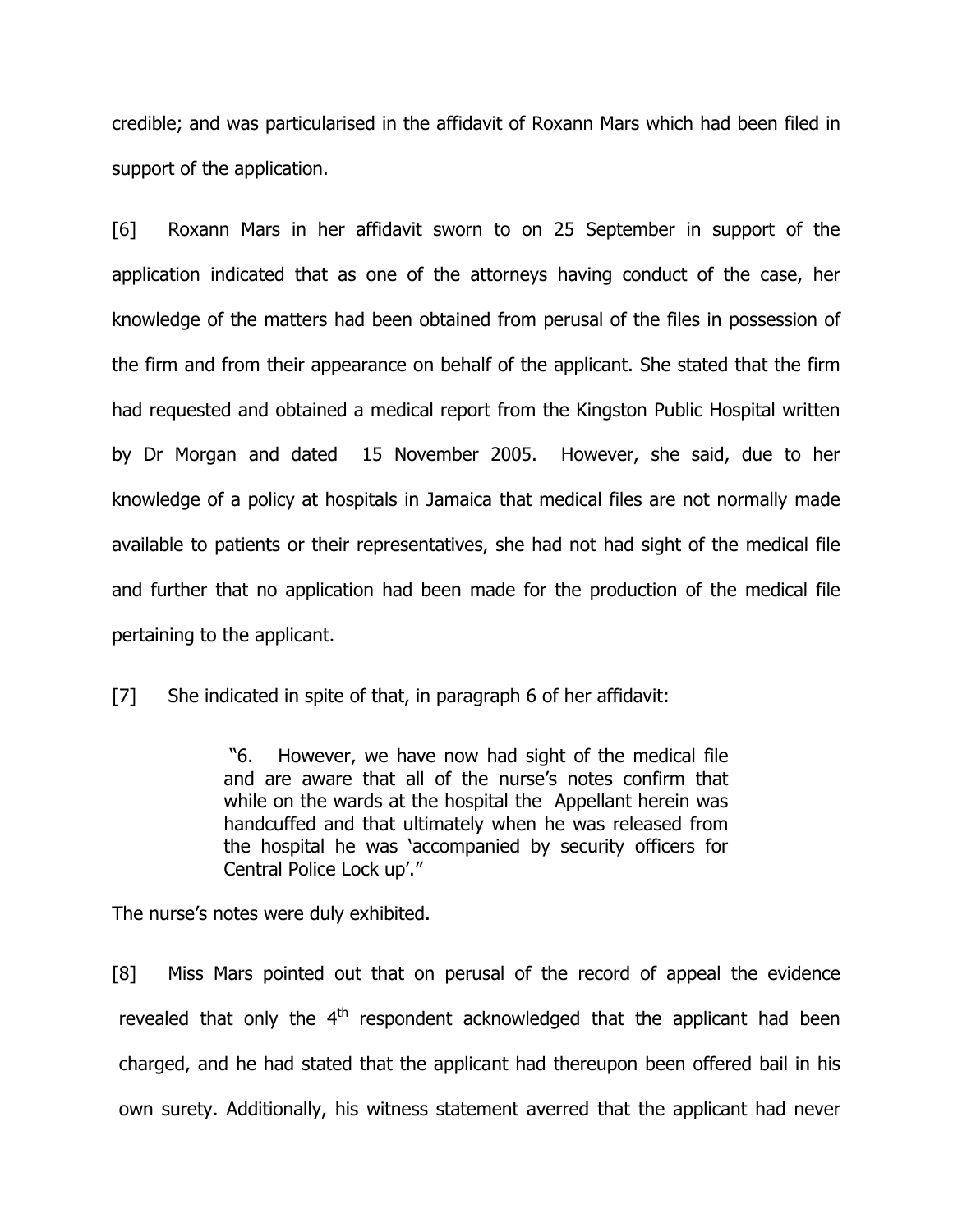credible; and was particularised in the affidavit of Roxann Mars which had been filed in support of the application.

[6] Roxann Mars in her affidavit sworn to on 25 September in support of the application indicated that as one of the attorneys having conduct of the case, her knowledge of the matters had been obtained from perusal of the files in possession of the firm and from their appearance on behalf of the applicant. She stated that the firm had requested and obtained a medical report from the Kingston Public Hospital written by Dr Morgan and dated 15 November 2005. However, she said, due to her knowledge of a policy at hospitals in Jamaica that medical files are not normally made available to patients or their representatives, she had not had sight of the medical file and further that no application had been made for the production of the medical file pertaining to the applicant.

[7] She indicated in spite of that, in paragraph 6 of her affidavit:

 "6. However, we have now had sight of the medical file and are aware that all of the nurse's notes confirm that while on the wards at the hospital the Appellant herein was handcuffed and that ultimately when he was released from the hospital he was 'accompanied by security officers for Central Police Lock up'."

The nurse's notes were duly exhibited.

[8] Miss Mars pointed out that on perusal of the record of appeal the evidence revealed that only the  $4<sup>th</sup>$  respondent acknowledged that the applicant had been charged, and he had stated that the applicant had thereupon been offered bail in his own surety. Additionally, his witness statement averred that the applicant had never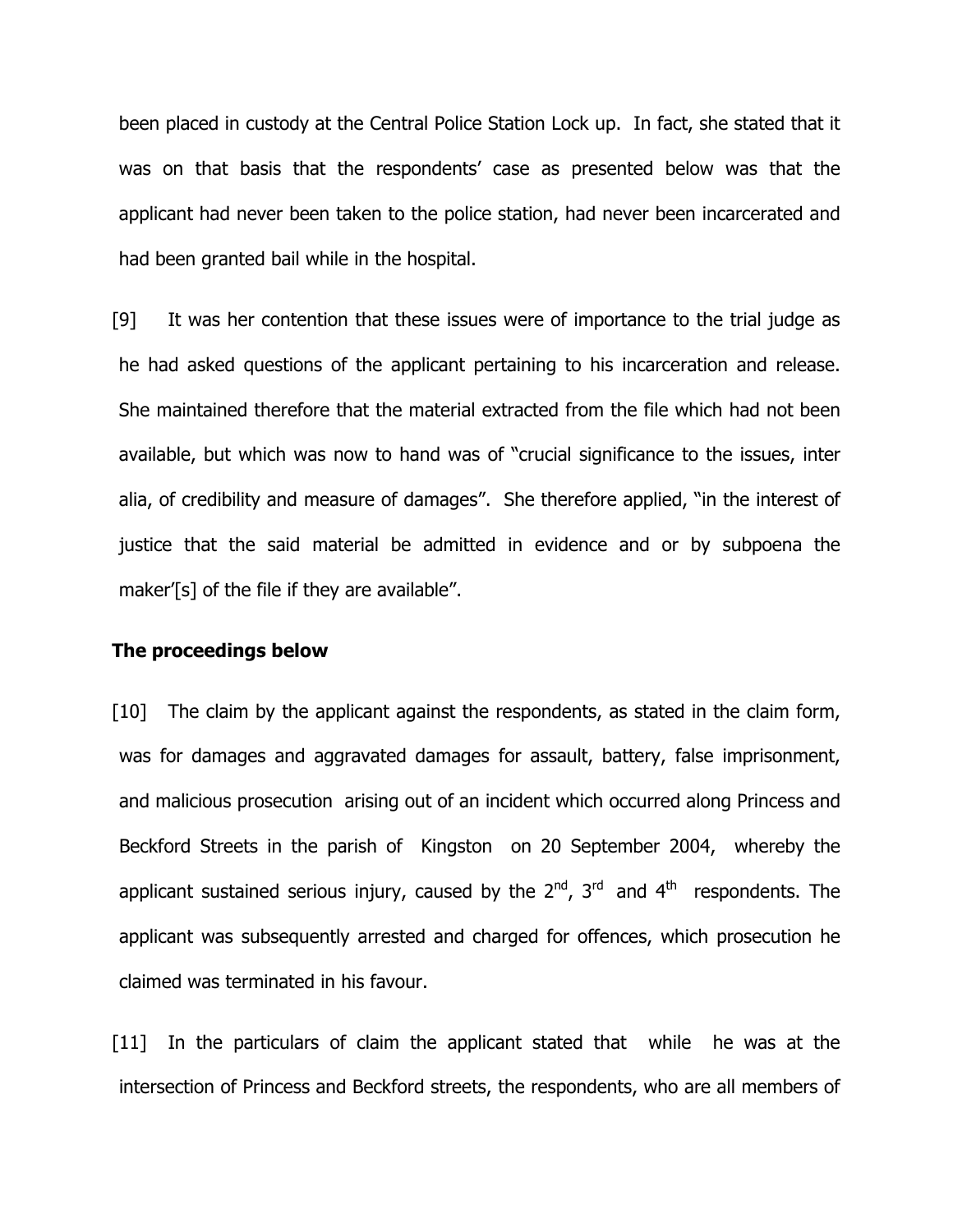been placed in custody at the Central Police Station Lock up. In fact, she stated that it was on that basis that the respondents' case as presented below was that the applicant had never been taken to the police station, had never been incarcerated and had been granted bail while in the hospital.

[9] It was her contention that these issues were of importance to the trial judge as he had asked questions of the applicant pertaining to his incarceration and release. She maintained therefore that the material extracted from the file which had not been available, but which was now to hand was of "crucial significance to the issues, inter alia, of credibility and measure of damages". She therefore applied, "in the interest of justice that the said material be admitted in evidence and or by subpoena the maker'[s] of the file if they are available".

## The proceedings below

[10] The claim by the applicant against the respondents, as stated in the claim form, was for damages and aggravated damages for assault, battery, false imprisonment, and malicious prosecution arising out of an incident which occurred along Princess and Beckford Streets in the parish of Kingston on 20 September 2004, whereby the applicant sustained serious injury, caused by the  $2^{nd}$ ,  $3^{rd}$  and  $4^{th}$  respondents. The applicant was subsequently arrested and charged for offences, which prosecution he claimed was terminated in his favour.

[11] In the particulars of claim the applicant stated that while he was at the intersection of Princess and Beckford streets, the respondents, who are all members of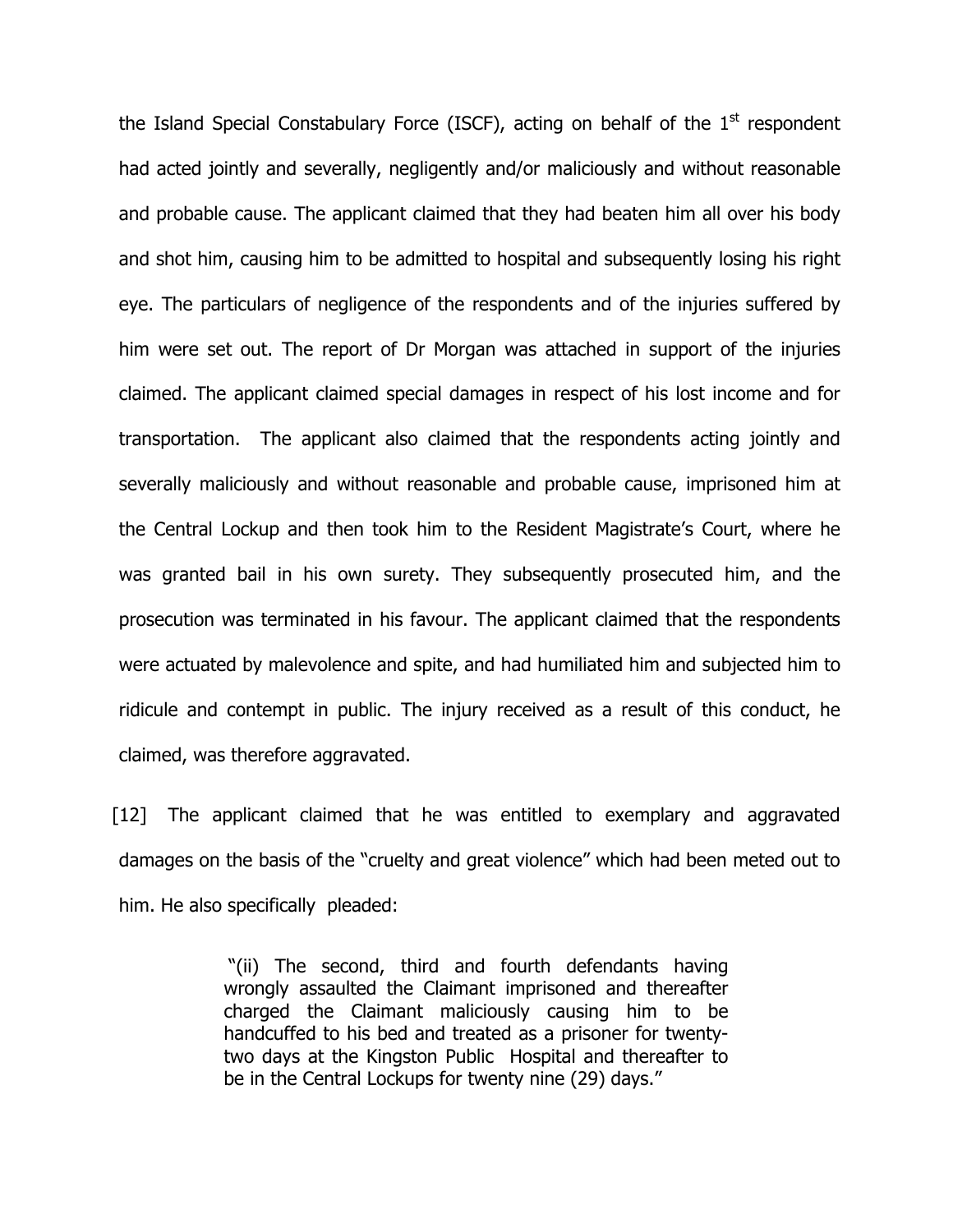the Island Special Constabulary Force (ISCF), acting on behalf of the  $1<sup>st</sup>$  respondent had acted jointly and severally, negligently and/or maliciously and without reasonable and probable cause. The applicant claimed that they had beaten him all over his body and shot him, causing him to be admitted to hospital and subsequently losing his right eye. The particulars of negligence of the respondents and of the injuries suffered by him were set out. The report of Dr Morgan was attached in support of the injuries claimed. The applicant claimed special damages in respect of his lost income and for transportation. The applicant also claimed that the respondents acting jointly and severally maliciously and without reasonable and probable cause, imprisoned him at the Central Lockup and then took him to the Resident Magistrate's Court, where he was granted bail in his own surety. They subsequently prosecuted him, and the prosecution was terminated in his favour. The applicant claimed that the respondents were actuated by malevolence and spite, and had humiliated him and subjected him to ridicule and contempt in public. The injury received as a result of this conduct, he claimed, was therefore aggravated.

[12] The applicant claimed that he was entitled to exemplary and aggravated damages on the basis of the "cruelty and great violence" which had been meted out to him. He also specifically pleaded:

> "(ii) The second, third and fourth defendants having wrongly assaulted the Claimant imprisoned and thereafter charged the Claimant maliciously causing him to be handcuffed to his bed and treated as a prisoner for twentytwo days at the Kingston Public Hospital and thereafter to be in the Central Lockups for twenty nine (29) days."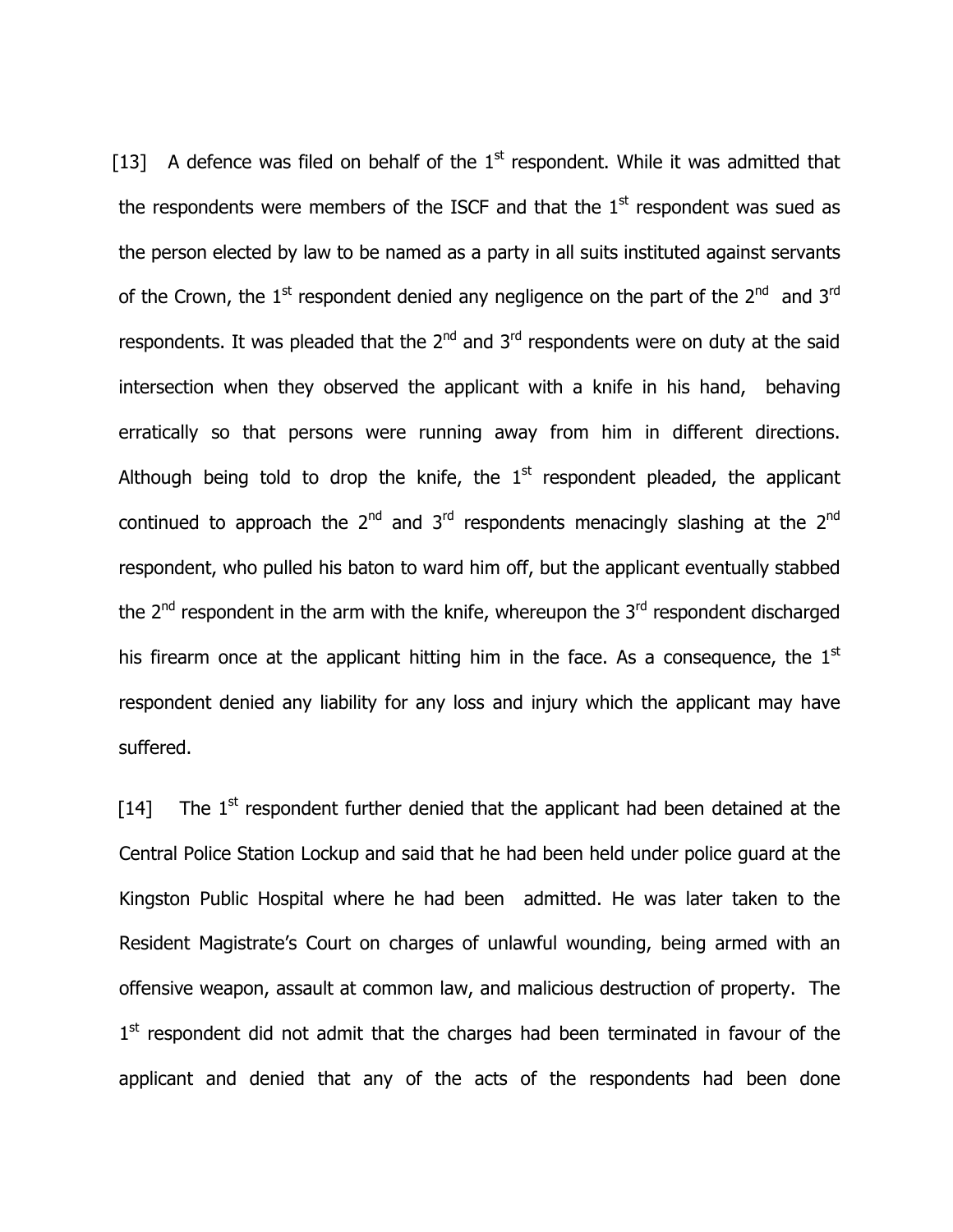[13] A defence was filed on behalf of the  $1<sup>st</sup>$  respondent. While it was admitted that the respondents were members of the ISCF and that the  $1<sup>st</sup>$  respondent was sued as the person elected by law to be named as a party in all suits instituted against servants of the Crown, the  $1<sup>st</sup>$  respondent denied any negligence on the part of the  $2<sup>nd</sup>$  and  $3<sup>rd</sup>$ respondents. It was pleaded that the  $2^{nd}$  and  $3^{rd}$  respondents were on duty at the said intersection when they observed the applicant with a knife in his hand, behaving erratically so that persons were running away from him in different directions. Although being told to drop the knife, the  $1<sup>st</sup>$  respondent pleaded, the applicant continued to approach the  $2^{nd}$  and  $3^{rd}$  respondents menacingly slashing at the  $2^{nd}$ respondent, who pulled his baton to ward him off, but the applicant eventually stabbed the  $2<sup>nd</sup>$  respondent in the arm with the knife, whereupon the  $3<sup>rd</sup>$  respondent discharged his firearm once at the applicant hitting him in the face. As a consequence, the  $1<sup>st</sup>$ respondent denied any liability for any loss and injury which the applicant may have suffered.

[14] The  $1<sup>st</sup>$  respondent further denied that the applicant had been detained at the Central Police Station Lockup and said that he had been held under police guard at the Kingston Public Hospital where he had been admitted. He was later taken to the Resident Magistrate's Court on charges of unlawful wounding, being armed with an offensive weapon, assault at common law, and malicious destruction of property. The 1<sup>st</sup> respondent did not admit that the charges had been terminated in favour of the applicant and denied that any of the acts of the respondents had been done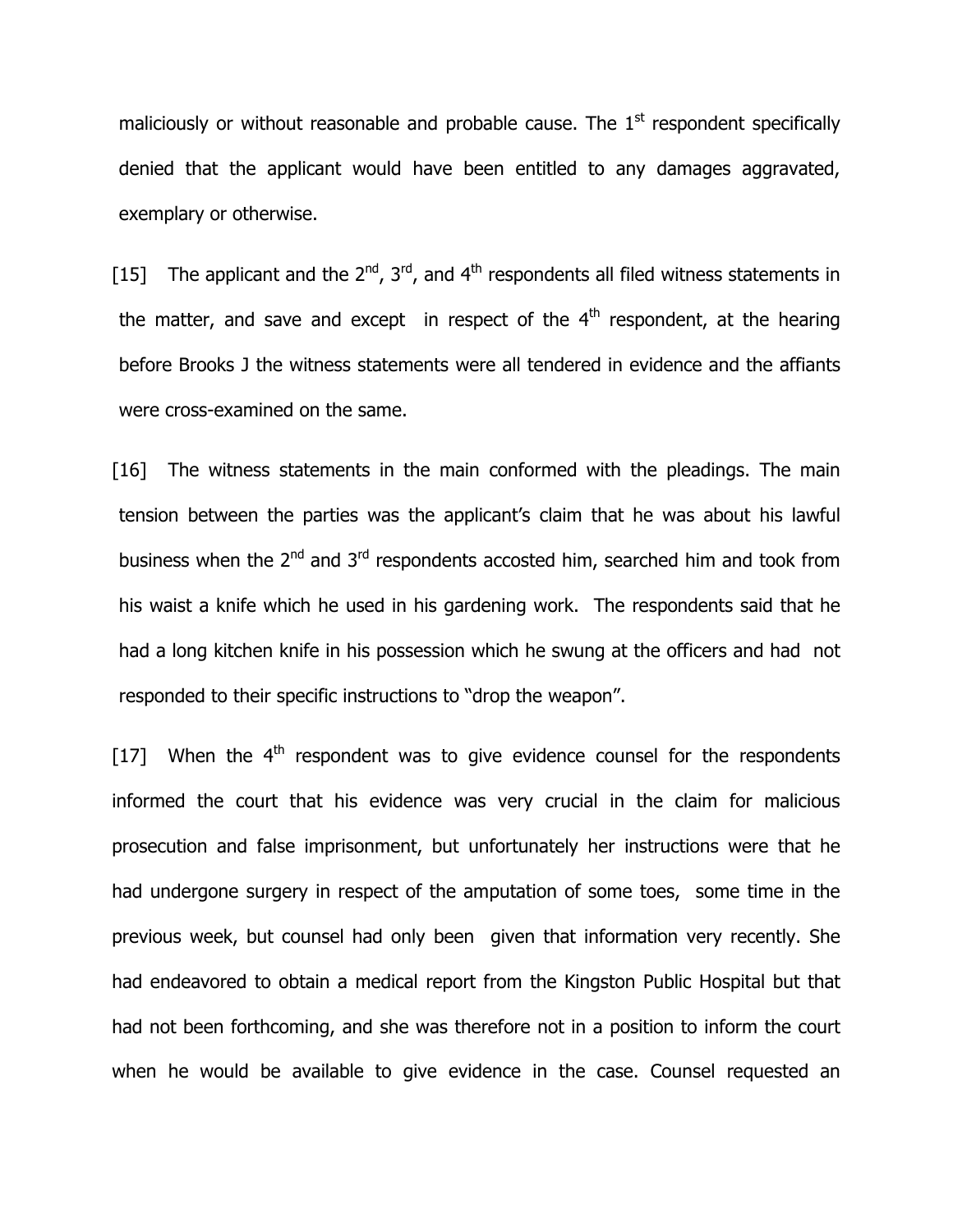maliciously or without reasonable and probable cause. The  $1<sup>st</sup>$  respondent specifically denied that the applicant would have been entitled to any damages aggravated, exemplary or otherwise.

[15] The applicant and the  $2^{nd}$ ,  $3^{rd}$ , and  $4^{th}$  respondents all filed witness statements in the matter, and save and except in respect of the  $4<sup>th</sup>$  respondent, at the hearing before Brooks J the witness statements were all tendered in evidence and the affiants were cross-examined on the same.

[16] The witness statements in the main conformed with the pleadings. The main tension between the parties was the applicant's claim that he was about his lawful business when the  $2^{nd}$  and  $3^{rd}$  respondents accosted him, searched him and took from his waist a knife which he used in his gardening work. The respondents said that he had a long kitchen knife in his possession which he swung at the officers and had not responded to their specific instructions to "drop the weapon".

[17] When the  $4<sup>th</sup>$  respondent was to give evidence counsel for the respondents informed the court that his evidence was very crucial in the claim for malicious prosecution and false imprisonment, but unfortunately her instructions were that he had undergone surgery in respect of the amputation of some toes, some time in the previous week, but counsel had only been given that information very recently. She had endeavored to obtain a medical report from the Kingston Public Hospital but that had not been forthcoming, and she was therefore not in a position to inform the court when he would be available to give evidence in the case. Counsel requested an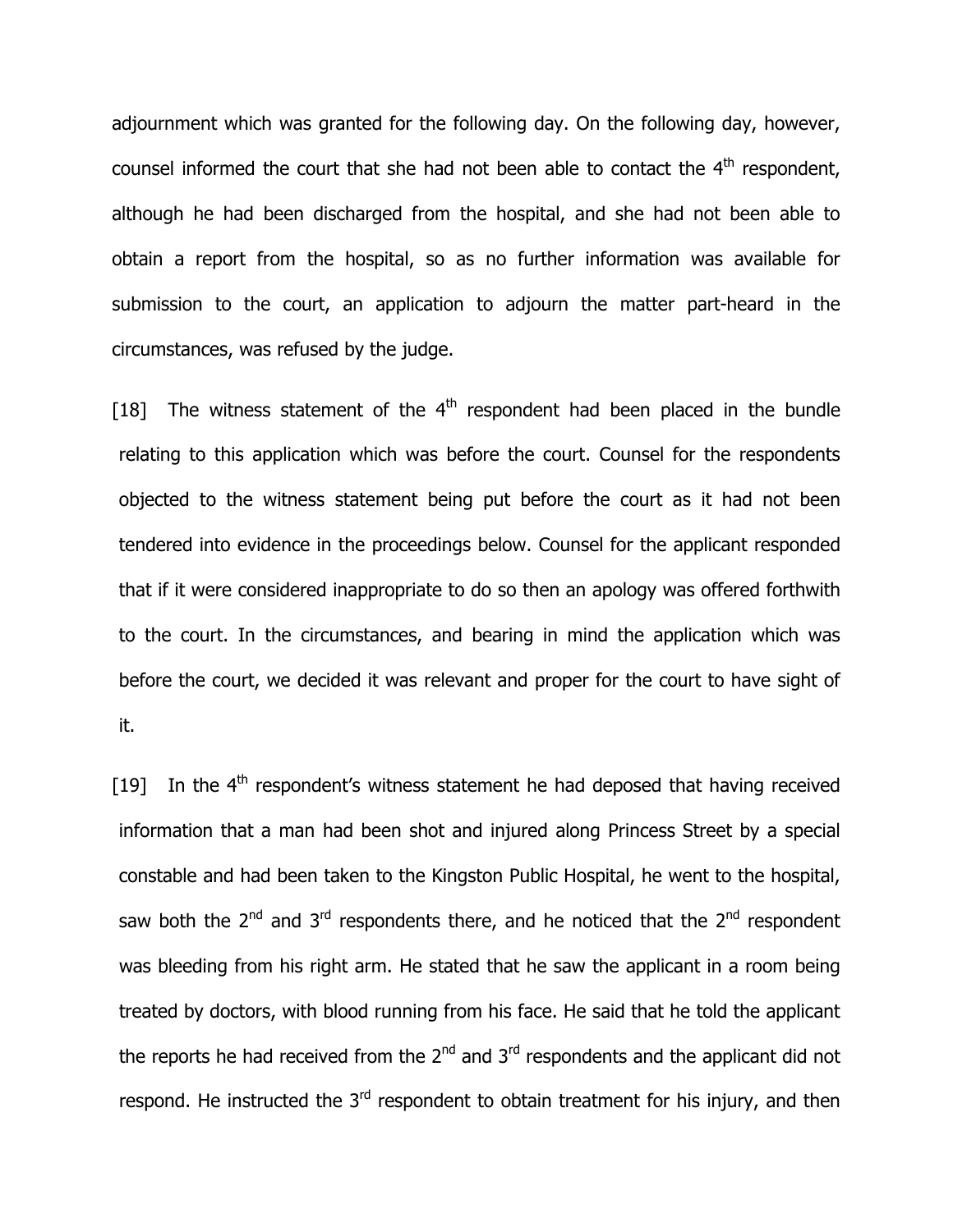adjournment which was granted for the following day. On the following day, however, counsel informed the court that she had not been able to contact the  $4<sup>th</sup>$  respondent, although he had been discharged from the hospital, and she had not been able to obtain a report from the hospital, so as no further information was available for submission to the court, an application to adjourn the matter part-heard in the circumstances, was refused by the judge.

[18] The witness statement of the  $4<sup>th</sup>$  respondent had been placed in the bundle relating to this application which was before the court. Counsel for the respondents objected to the witness statement being put before the court as it had not been tendered into evidence in the proceedings below. Counsel for the applicant responded that if it were considered inappropriate to do so then an apology was offered forthwith to the court. In the circumstances, and bearing in mind the application which was before the court, we decided it was relevant and proper for the court to have sight of it.

[19] In the  $4<sup>th</sup>$  respondent's witness statement he had deposed that having received information that a man had been shot and injured along Princess Street by a special constable and had been taken to the Kingston Public Hospital, he went to the hospital, saw both the  $2^{nd}$  and  $3^{rd}$  respondents there, and he noticed that the  $2^{nd}$  respondent was bleeding from his right arm. He stated that he saw the applicant in a room being treated by doctors, with blood running from his face. He said that he told the applicant the reports he had received from the  $2<sup>nd</sup>$  and  $3<sup>rd</sup>$  respondents and the applicant did not respond. He instructed the  $3<sup>rd</sup>$  respondent to obtain treatment for his injury, and then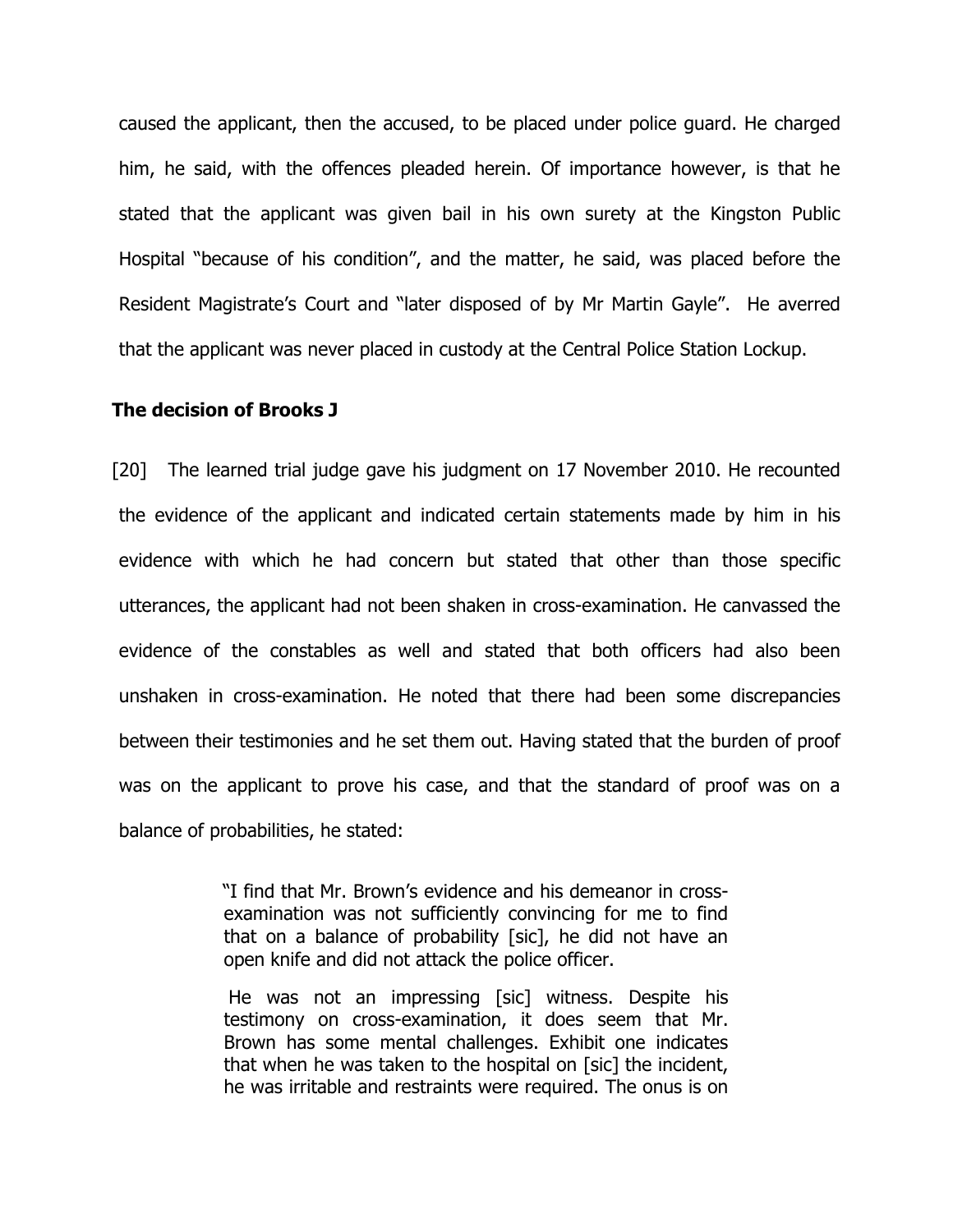caused the applicant, then the accused, to be placed under police guard. He charged him, he said, with the offences pleaded herein. Of importance however, is that he stated that the applicant was given bail in his own surety at the Kingston Public Hospital "because of his condition", and the matter, he said, was placed before the Resident Magistrate's Court and "later disposed of by Mr Martin Gayle". He averred that the applicant was never placed in custody at the Central Police Station Lockup.

#### The decision of Brooks J

[20] The learned trial judge gave his judgment on 17 November 2010. He recounted the evidence of the applicant and indicated certain statements made by him in his evidence with which he had concern but stated that other than those specific utterances, the applicant had not been shaken in cross-examination. He canvassed the evidence of the constables as well and stated that both officers had also been unshaken in cross-examination. He noted that there had been some discrepancies between their testimonies and he set them out. Having stated that the burden of proof was on the applicant to prove his case, and that the standard of proof was on a balance of probabilities, he stated:

> "I find that Mr. Brown's evidence and his demeanor in crossexamination was not sufficiently convincing for me to find that on a balance of probability [sic], he did not have an open knife and did not attack the police officer.

> He was not an impressing [sic] witness. Despite his testimony on cross-examination, it does seem that Mr. Brown has some mental challenges. Exhibit one indicates that when he was taken to the hospital on [sic] the incident, he was irritable and restraints were required. The onus is on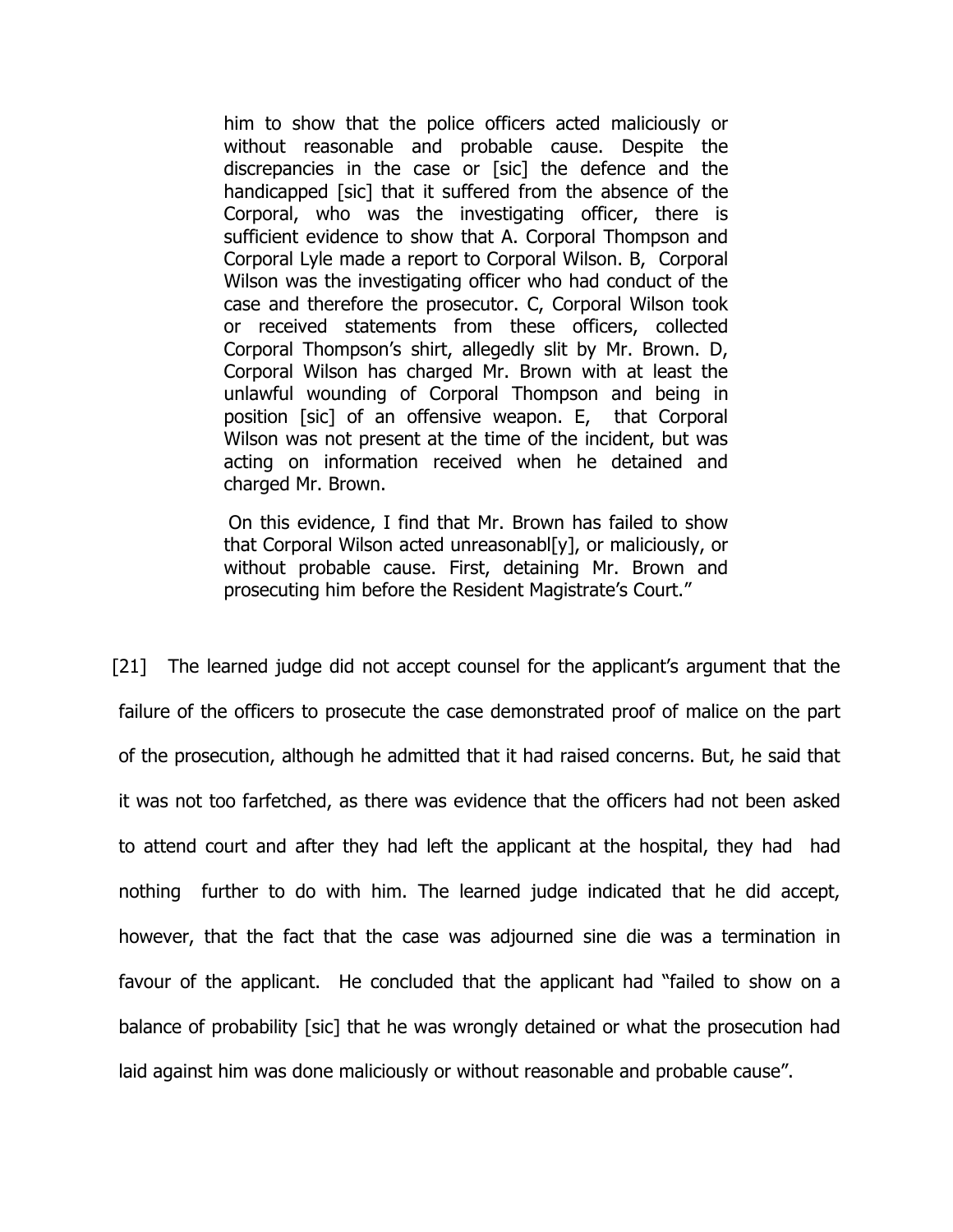him to show that the police officers acted maliciously or without reasonable and probable cause. Despite the discrepancies in the case or [sic] the defence and the handicapped [sic] that it suffered from the absence of the Corporal, who was the investigating officer, there is sufficient evidence to show that A. Corporal Thompson and Corporal Lyle made a report to Corporal Wilson. B, Corporal Wilson was the investigating officer who had conduct of the case and therefore the prosecutor. C, Corporal Wilson took or received statements from these officers, collected Corporal Thompson's shirt, allegedly slit by Mr. Brown. D, Corporal Wilson has charged Mr. Brown with at least the unlawful wounding of Corporal Thompson and being in position [sic] of an offensive weapon. E, that Corporal Wilson was not present at the time of the incident, but was acting on information received when he detained and charged Mr. Brown.

 On this evidence, I find that Mr. Brown has failed to show that Corporal Wilson acted unreasonabl[y], or maliciously, or without probable cause. First, detaining Mr. Brown and prosecuting him before the Resident Magistrate's Court."

[21] The learned judge did not accept counsel for the applicant's argument that the failure of the officers to prosecute the case demonstrated proof of malice on the part of the prosecution, although he admitted that it had raised concerns. But, he said that it was not too farfetched, as there was evidence that the officers had not been asked to attend court and after they had left the applicant at the hospital, they had had nothing further to do with him. The learned judge indicated that he did accept, however, that the fact that the case was adjourned sine die was a termination in favour of the applicant. He concluded that the applicant had "failed to show on a balance of probability [sic] that he was wrongly detained or what the prosecution had laid against him was done maliciously or without reasonable and probable cause".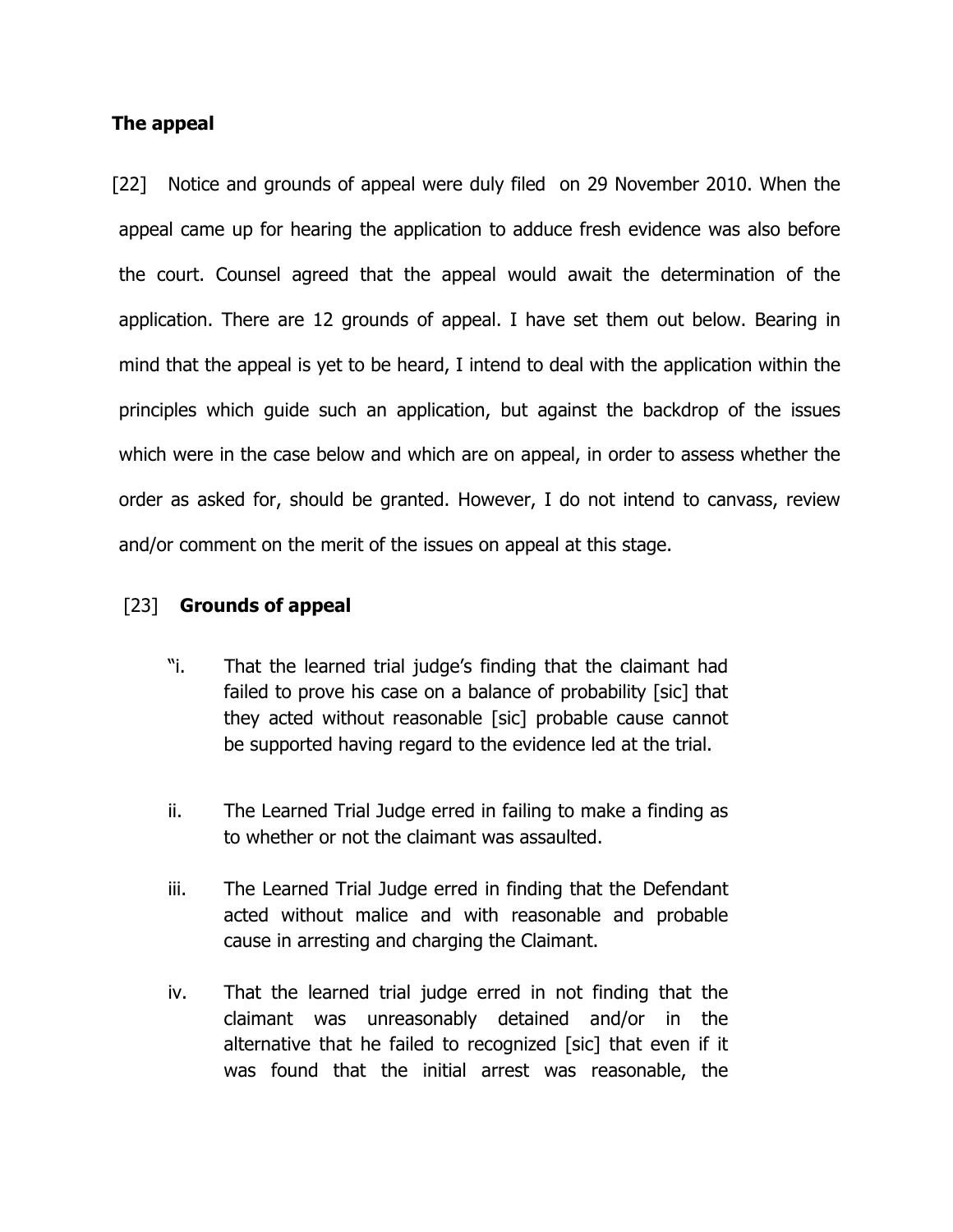## The appeal

[22] Notice and grounds of appeal were duly filed on 29 November 2010. When the appeal came up for hearing the application to adduce fresh evidence was also before the court. Counsel agreed that the appeal would await the determination of the application. There are 12 grounds of appeal. I have set them out below. Bearing in mind that the appeal is yet to be heard, I intend to deal with the application within the principles which guide such an application, but against the backdrop of the issues which were in the case below and which are on appeal, in order to assess whether the order as asked for, should be granted. However, I do not intend to canvass, review and/or comment on the merit of the issues on appeal at this stage.

## [23] Grounds of appeal

- "i. That the learned trial judge's finding that the claimant had failed to prove his case on a balance of probability [sic] that they acted without reasonable [sic] probable cause cannot be supported having regard to the evidence led at the trial.
- ii. The Learned Trial Judge erred in failing to make a finding as to whether or not the claimant was assaulted.
- iii. The Learned Trial Judge erred in finding that the Defendant acted without malice and with reasonable and probable cause in arresting and charging the Claimant.
- iv. That the learned trial judge erred in not finding that the claimant was unreasonably detained and/or in the alternative that he failed to recognized [sic] that even if it was found that the initial arrest was reasonable, the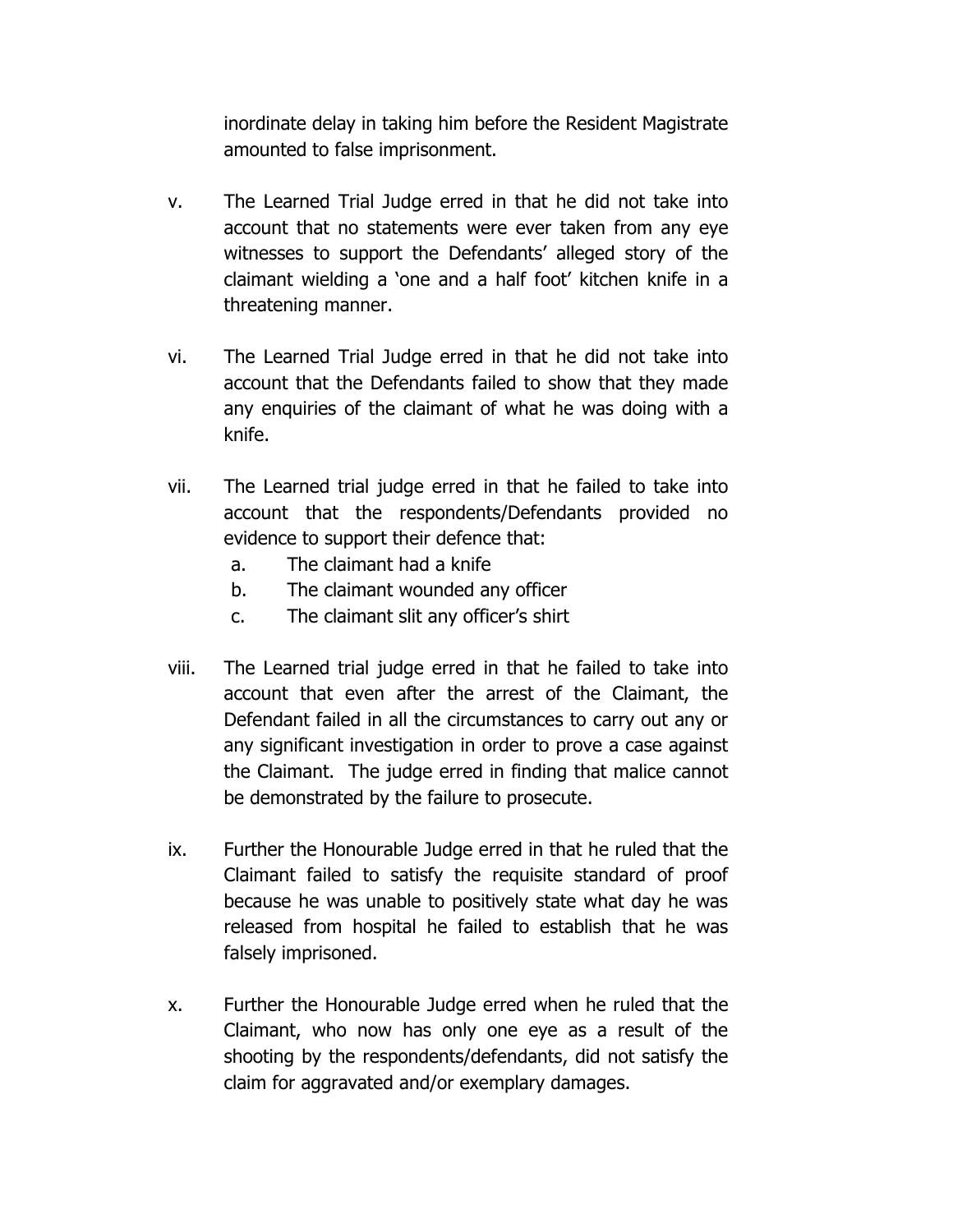inordinate delay in taking him before the Resident Magistrate amounted to false imprisonment.

- v. The Learned Trial Judge erred in that he did not take into account that no statements were ever taken from any eye witnesses to support the Defendants' alleged story of the claimant wielding a 'one and a half foot' kitchen knife in a threatening manner.
- vi. The Learned Trial Judge erred in that he did not take into account that the Defendants failed to show that they made any enquiries of the claimant of what he was doing with a knife.
- vii. The Learned trial judge erred in that he failed to take into account that the respondents/Defendants provided no evidence to support their defence that:
	- a. The claimant had a knife
	- b. The claimant wounded any officer
	- c. The claimant slit any officer's shirt
- viii. The Learned trial judge erred in that he failed to take into account that even after the arrest of the Claimant, the Defendant failed in all the circumstances to carry out any or any significant investigation in order to prove a case against the Claimant. The judge erred in finding that malice cannot be demonstrated by the failure to prosecute.
- ix. Further the Honourable Judge erred in that he ruled that the Claimant failed to satisfy the requisite standard of proof because he was unable to positively state what day he was released from hospital he failed to establish that he was falsely imprisoned.
- x. Further the Honourable Judge erred when he ruled that the Claimant, who now has only one eye as a result of the shooting by the respondents/defendants, did not satisfy the claim for aggravated and/or exemplary damages.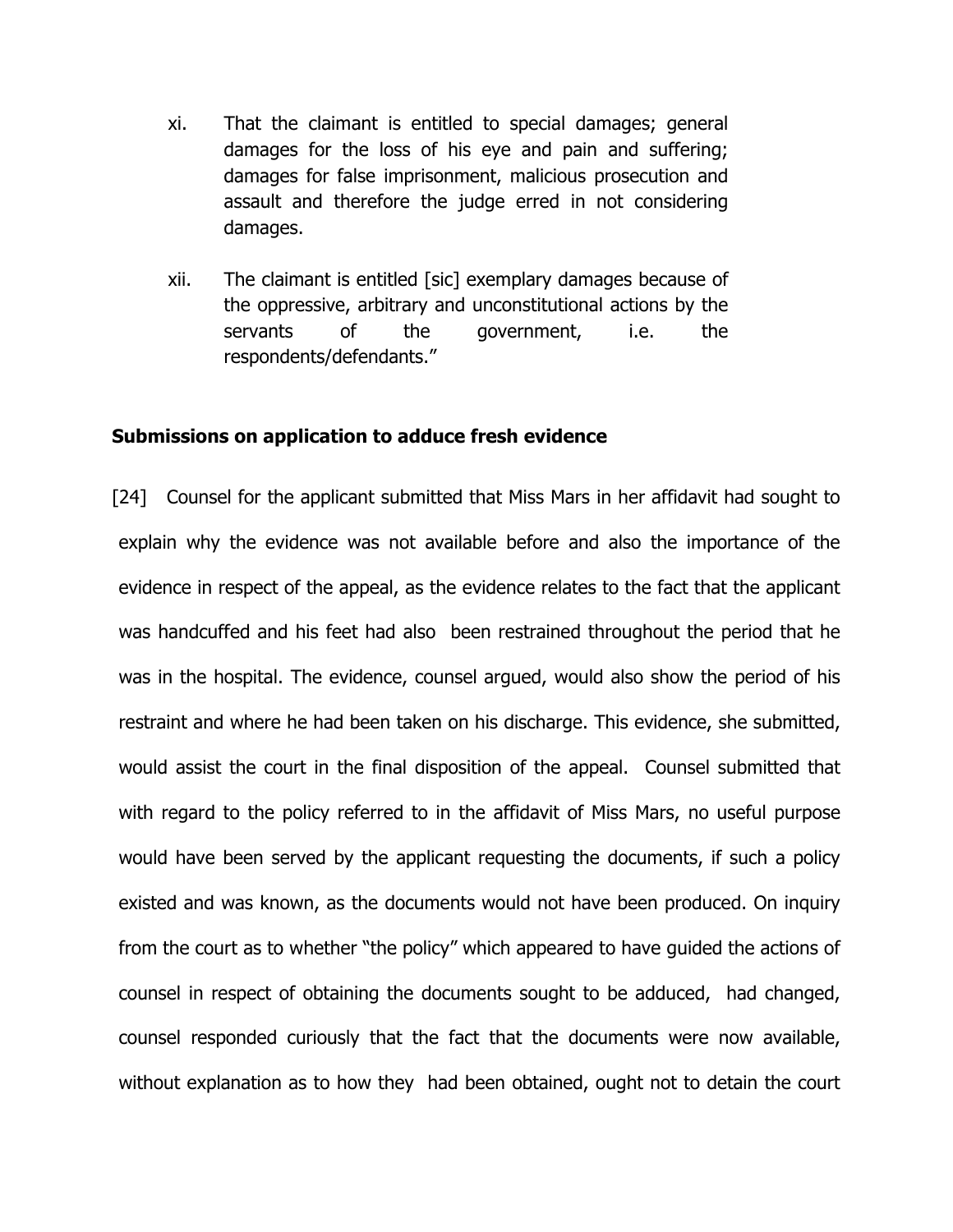- xi. That the claimant is entitled to special damages; general damages for the loss of his eye and pain and suffering; damages for false imprisonment, malicious prosecution and assault and therefore the judge erred in not considering damages.
- xii. The claimant is entitled [sic] exemplary damages because of the oppressive, arbitrary and unconstitutional actions by the servants of the government, i.e. the respondents/defendants."

## Submissions on application to adduce fresh evidence

[24] Counsel for the applicant submitted that Miss Mars in her affidavit had sought to explain why the evidence was not available before and also the importance of the evidence in respect of the appeal, as the evidence relates to the fact that the applicant was handcuffed and his feet had also been restrained throughout the period that he was in the hospital. The evidence, counsel argued, would also show the period of his restraint and where he had been taken on his discharge. This evidence, she submitted, would assist the court in the final disposition of the appeal. Counsel submitted that with regard to the policy referred to in the affidavit of Miss Mars, no useful purpose would have been served by the applicant requesting the documents, if such a policy existed and was known, as the documents would not have been produced. On inquiry from the court as to whether "the policy" which appeared to have guided the actions of counsel in respect of obtaining the documents sought to be adduced, had changed, counsel responded curiously that the fact that the documents were now available, without explanation as to how they had been obtained, ought not to detain the court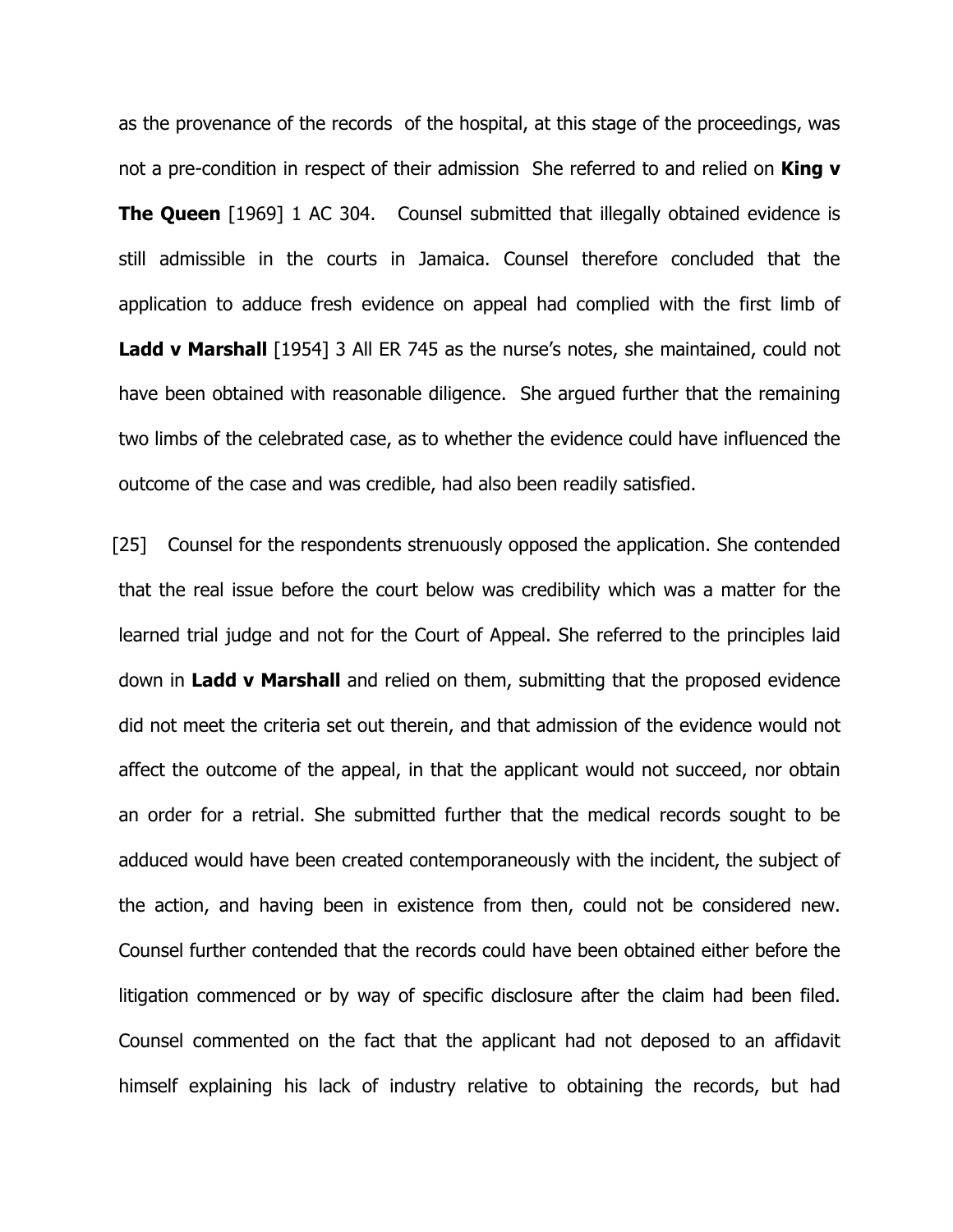as the provenance of the records of the hospital, at this stage of the proceedings, was not a pre-condition in respect of their admission She referred to and relied on **King v The Queen** [1969] 1 AC 304. Counsel submitted that illegally obtained evidence is still admissible in the courts in Jamaica. Counsel therefore concluded that the application to adduce fresh evidence on appeal had complied with the first limb of **Ladd v Marshall** [1954] 3 All ER 745 as the nurse's notes, she maintained, could not have been obtained with reasonable diligence. She argued further that the remaining two limbs of the celebrated case, as to whether the evidence could have influenced the outcome of the case and was credible, had also been readily satisfied.

[25] Counsel for the respondents strenuously opposed the application. She contended that the real issue before the court below was credibility which was a matter for the learned trial judge and not for the Court of Appeal. She referred to the principles laid down in Ladd v Marshall and relied on them, submitting that the proposed evidence did not meet the criteria set out therein, and that admission of the evidence would not affect the outcome of the appeal, in that the applicant would not succeed, nor obtain an order for a retrial. She submitted further that the medical records sought to be adduced would have been created contemporaneously with the incident, the subject of the action, and having been in existence from then, could not be considered new. Counsel further contended that the records could have been obtained either before the litigation commenced or by way of specific disclosure after the claim had been filed. Counsel commented on the fact that the applicant had not deposed to an affidavit himself explaining his lack of industry relative to obtaining the records, but had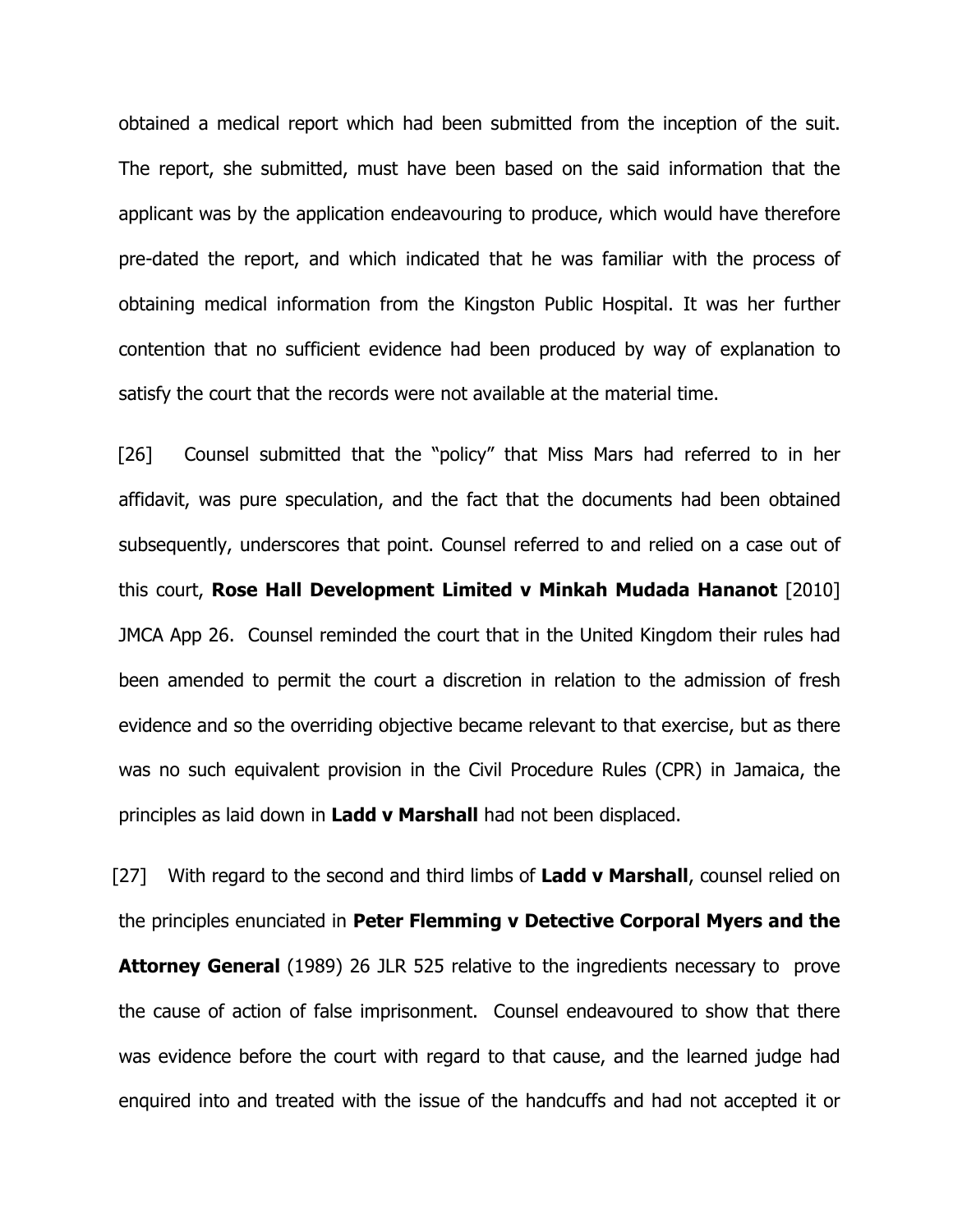obtained a medical report which had been submitted from the inception of the suit. The report, she submitted, must have been based on the said information that the applicant was by the application endeavouring to produce, which would have therefore pre-dated the report, and which indicated that he was familiar with the process of obtaining medical information from the Kingston Public Hospital. It was her further contention that no sufficient evidence had been produced by way of explanation to satisfy the court that the records were not available at the material time.

[26] Counsel submitted that the "policy" that Miss Mars had referred to in her affidavit, was pure speculation, and the fact that the documents had been obtained subsequently, underscores that point. Counsel referred to and relied on a case out of this court, Rose Hall Development Limited v Minkah Mudada Hananot [2010] JMCA App 26. Counsel reminded the court that in the United Kingdom their rules had been amended to permit the court a discretion in relation to the admission of fresh evidence and so the overriding objective became relevant to that exercise, but as there was no such equivalent provision in the Civil Procedure Rules (CPR) in Jamaica, the principles as laid down in Ladd v Marshall had not been displaced.

[27] With regard to the second and third limbs of Ladd v Marshall, counsel relied on the principles enunciated in Peter Flemming v Detective Corporal Myers and the **Attorney General** (1989) 26 JLR 525 relative to the ingredients necessary to prove the cause of action of false imprisonment. Counsel endeavoured to show that there was evidence before the court with regard to that cause, and the learned judge had enquired into and treated with the issue of the handcuffs and had not accepted it or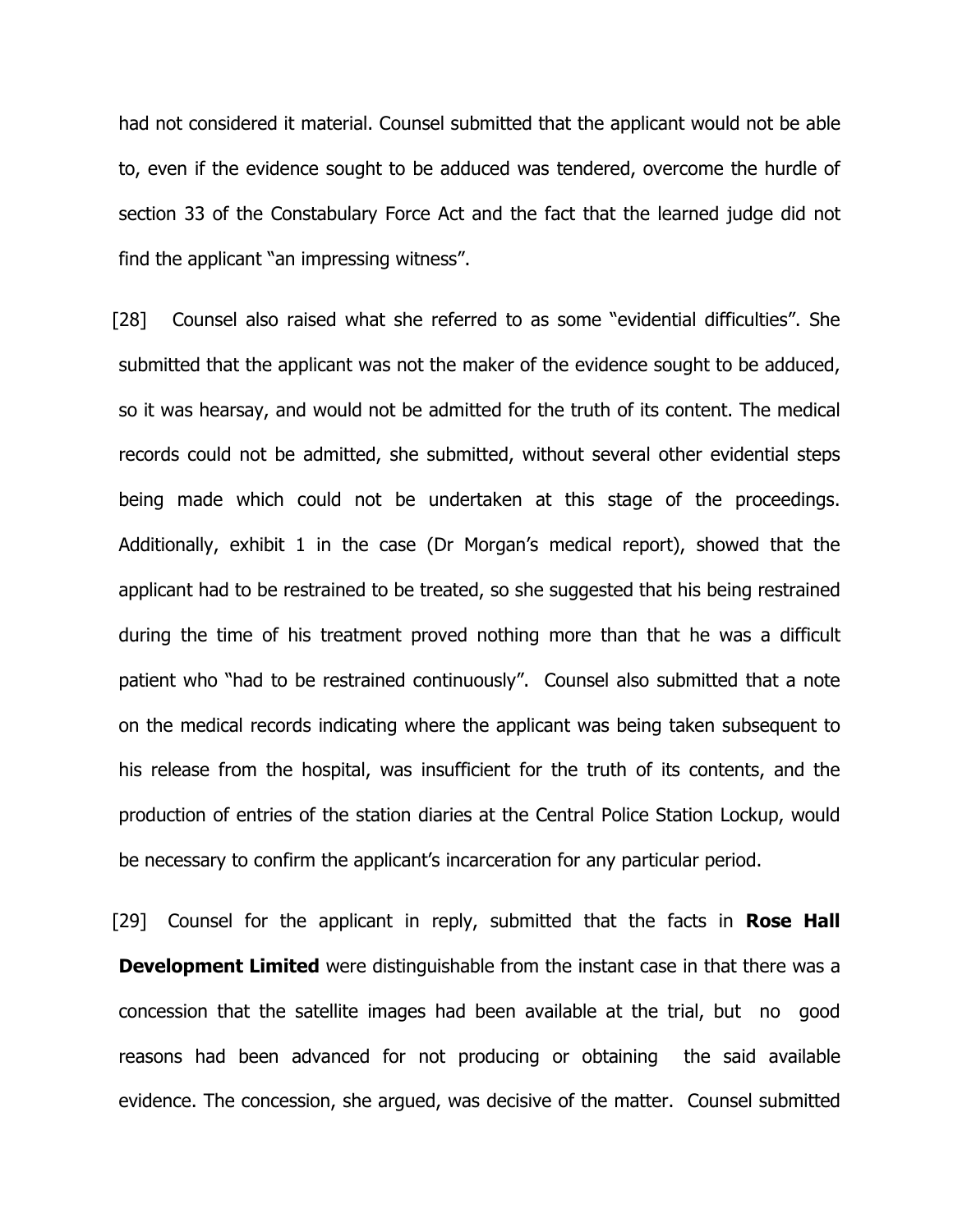had not considered it material. Counsel submitted that the applicant would not be able to, even if the evidence sought to be adduced was tendered, overcome the hurdle of section 33 of the Constabulary Force Act and the fact that the learned judge did not find the applicant "an impressing witness".

[28] Counsel also raised what she referred to as some "evidential difficulties". She submitted that the applicant was not the maker of the evidence sought to be adduced, so it was hearsay, and would not be admitted for the truth of its content. The medical records could not be admitted, she submitted, without several other evidential steps being made which could not be undertaken at this stage of the proceedings. Additionally, exhibit 1 in the case (Dr Morgan's medical report), showed that the applicant had to be restrained to be treated, so she suggested that his being restrained during the time of his treatment proved nothing more than that he was a difficult patient who "had to be restrained continuously". Counsel also submitted that a note on the medical records indicating where the applicant was being taken subsequent to his release from the hospital, was insufficient for the truth of its contents, and the production of entries of the station diaries at the Central Police Station Lockup, would be necessary to confirm the applicant's incarceration for any particular period.

[29] Counsel for the applicant in reply, submitted that the facts in **Rose Hall Development Limited** were distinguishable from the instant case in that there was a concession that the satellite images had been available at the trial, but no good reasons had been advanced for not producing or obtaining the said available evidence. The concession, she argued, was decisive of the matter. Counsel submitted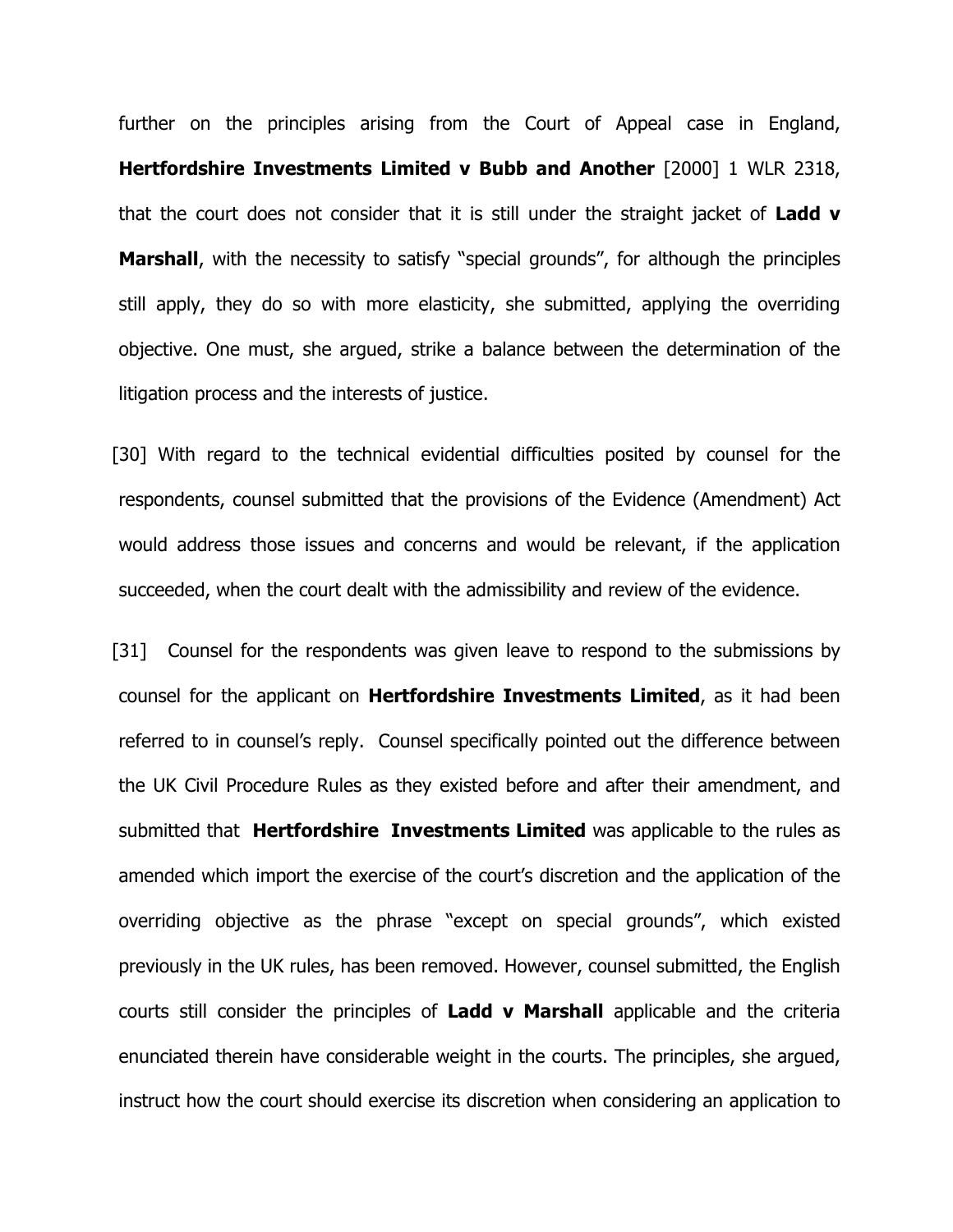further on the principles arising from the Court of Appeal case in England, Hertfordshire Investments Limited v Bubb and Another [2000] 1 WLR 2318, that the court does not consider that it is still under the straight jacket of Ladd  $v$ **Marshall**, with the necessity to satisfy "special grounds", for although the principles still apply, they do so with more elasticity, she submitted, applying the overriding objective. One must, she argued, strike a balance between the determination of the litigation process and the interests of justice.

[30] With regard to the technical evidential difficulties posited by counsel for the respondents, counsel submitted that the provisions of the Evidence (Amendment) Act would address those issues and concerns and would be relevant, if the application succeeded, when the court dealt with the admissibility and review of the evidence.

[31] Counsel for the respondents was given leave to respond to the submissions by counsel for the applicant on Hertfordshire Investments Limited, as it had been referred to in counsel's reply. Counsel specifically pointed out the difference between the UK Civil Procedure Rules as they existed before and after their amendment, and submitted that **Hertfordshire Investments Limited** was applicable to the rules as amended which import the exercise of the court's discretion and the application of the overriding objective as the phrase "except on special grounds", which existed previously in the UK rules, has been removed. However, counsel submitted, the English courts still consider the principles of Ladd v Marshall applicable and the criteria enunciated therein have considerable weight in the courts. The principles, she argued, instruct how the court should exercise its discretion when considering an application to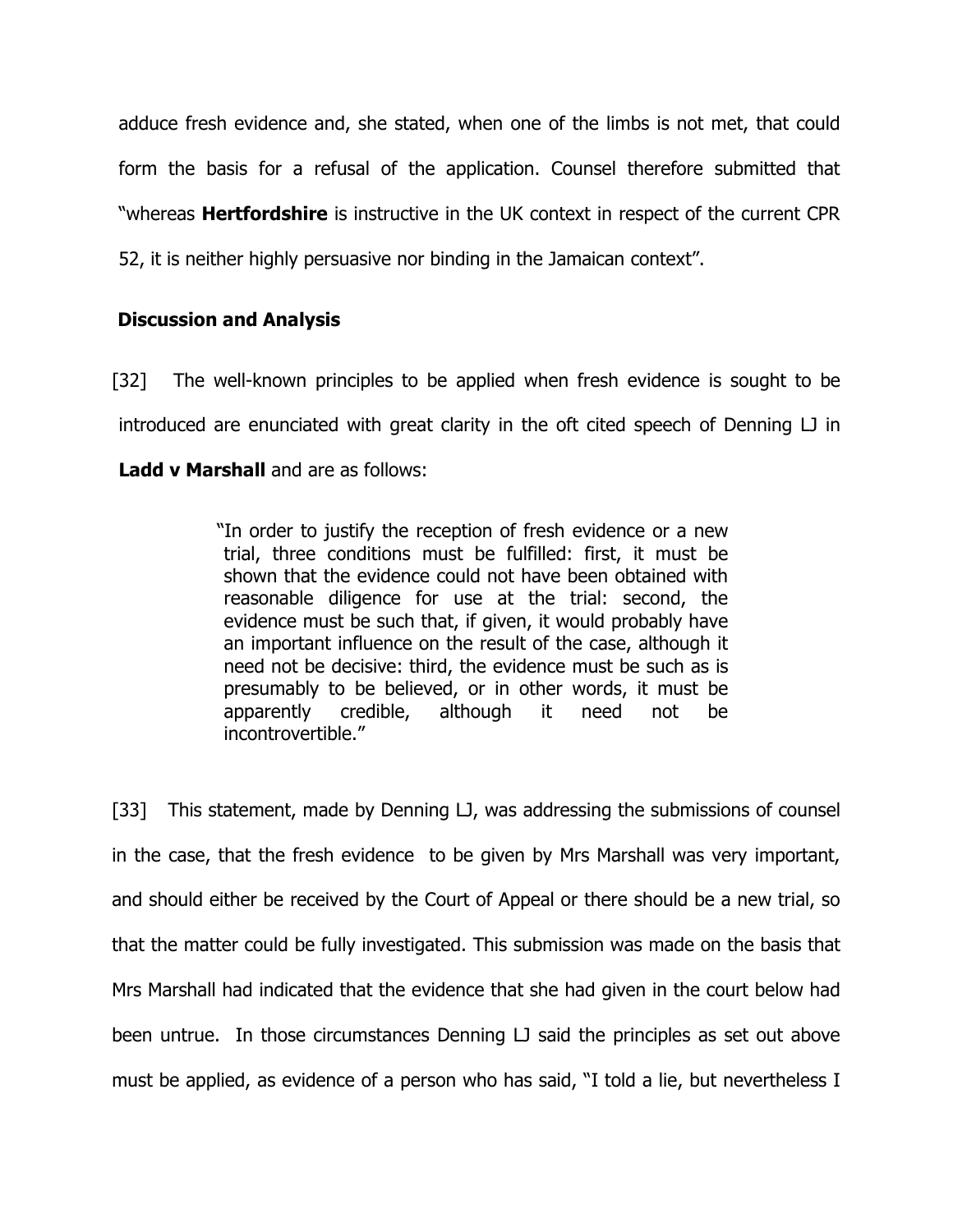adduce fresh evidence and, she stated, when one of the limbs is not met, that could form the basis for a refusal of the application. Counsel therefore submitted that "whereas **Hertfordshire** is instructive in the UK context in respect of the current CPR 52, it is neither highly persuasive nor binding in the Jamaican context".

## Discussion and Analysis

[32] The well-known principles to be applied when fresh evidence is sought to be introduced are enunciated with great clarity in the oft cited speech of Denning LJ in Ladd v Marshall and are as follows:

> "In order to justify the reception of fresh evidence or a new trial, three conditions must be fulfilled: first, it must be shown that the evidence could not have been obtained with reasonable diligence for use at the trial: second, the evidence must be such that, if given, it would probably have an important influence on the result of the case, although it need not be decisive: third, the evidence must be such as is presumably to be believed, or in other words, it must be apparently credible, although it need not be incontrovertible."

[33] This statement, made by Denning LJ, was addressing the submissions of counsel in the case, that the fresh evidence to be given by Mrs Marshall was very important, and should either be received by the Court of Appeal or there should be a new trial, so that the matter could be fully investigated. This submission was made on the basis that Mrs Marshall had indicated that the evidence that she had given in the court below had been untrue. In those circumstances Denning LJ said the principles as set out above must be applied, as evidence of a person who has said, "I told a lie, but nevertheless I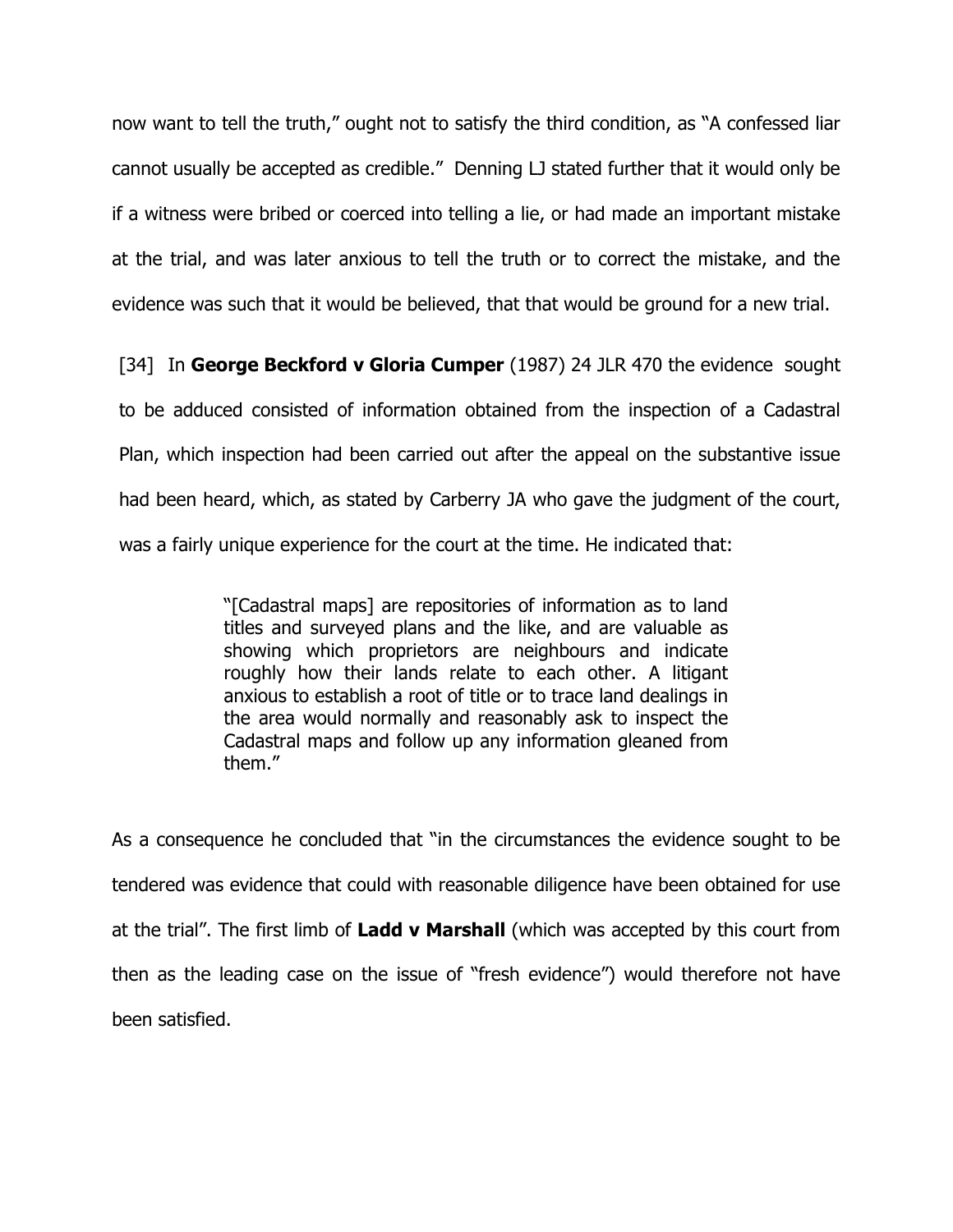now want to tell the truth," ought not to satisfy the third condition, as "A confessed liar cannot usually be accepted as credible." Denning LJ stated further that it would only be if a witness were bribed or coerced into telling a lie, or had made an important mistake at the trial, and was later anxious to tell the truth or to correct the mistake, and the evidence was such that it would be believed, that that would be ground for a new trial.

[34] In George Beckford v Gloria Cumper (1987) 24 JLR 470 the evidence sought to be adduced consisted of information obtained from the inspection of a Cadastral Plan, which inspection had been carried out after the appeal on the substantive issue had been heard, which, as stated by Carberry JA who gave the judgment of the court, was a fairly unique experience for the court at the time. He indicated that:

> "[Cadastral maps] are repositories of information as to land titles and surveyed plans and the like, and are valuable as showing which proprietors are neighbours and indicate roughly how their lands relate to each other. A litigant anxious to establish a root of title or to trace land dealings in the area would normally and reasonably ask to inspect the Cadastral maps and follow up any information gleaned from them."

As a consequence he concluded that "in the circumstances the evidence sought to be tendered was evidence that could with reasonable diligence have been obtained for use at the trial". The first limb of Ladd v Marshall (which was accepted by this court from then as the leading case on the issue of "fresh evidence") would therefore not have been satisfied.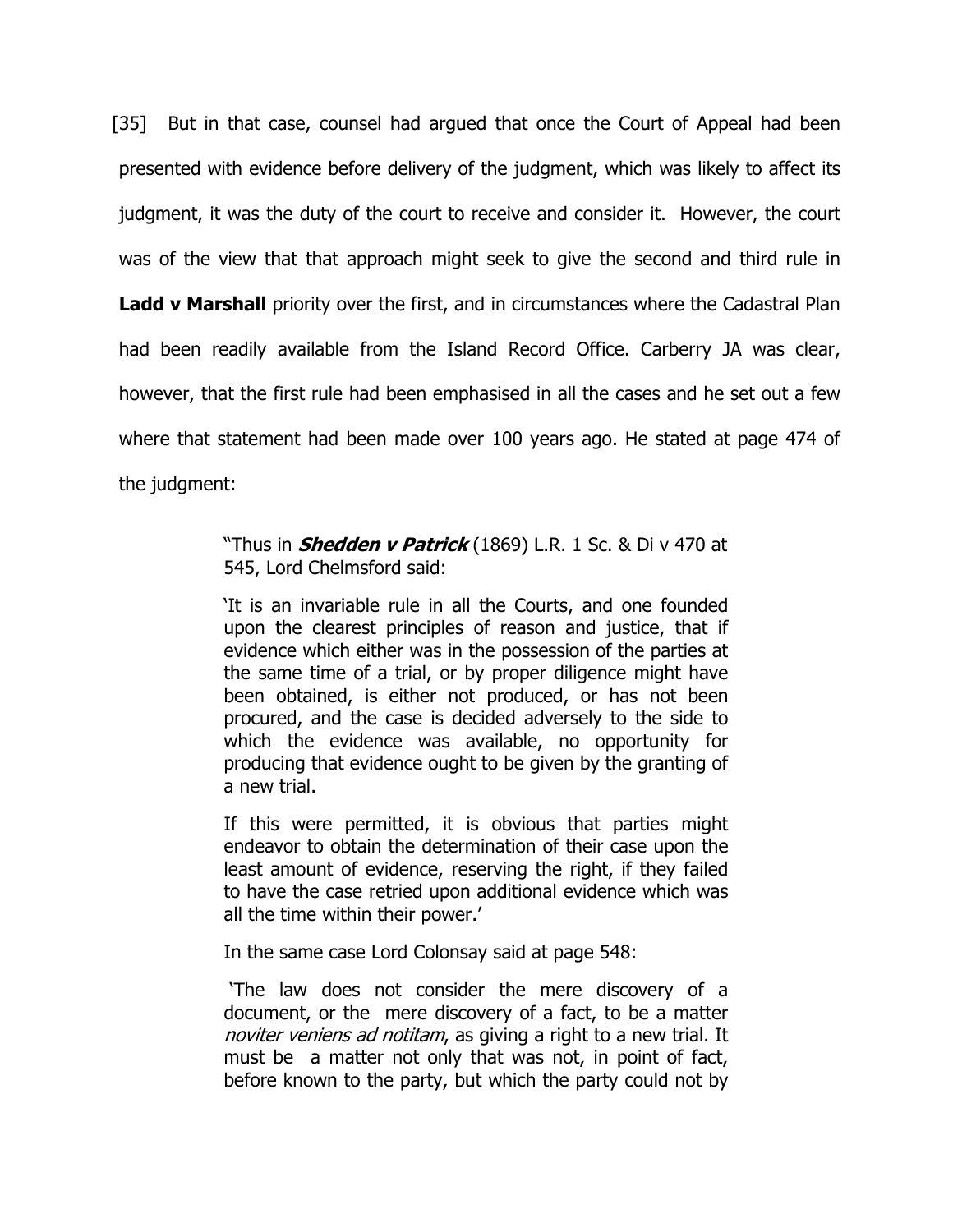[35] But in that case, counsel had argued that once the Court of Appeal had been presented with evidence before delivery of the judgment, which was likely to affect its judgment, it was the duty of the court to receive and consider it. However, the court was of the view that that approach might seek to give the second and third rule in **Ladd v Marshall** priority over the first, and in circumstances where the Cadastral Plan had been readily available from the Island Record Office. Carberry JA was clear, however, that the first rule had been emphasised in all the cases and he set out a few where that statement had been made over 100 years ago. He stated at page 474 of the judgment:

## "Thus in **Shedden v Patrick** (1869) L.R. 1 Sc. & Di v 470 at 545, Lord Chelmsford said:

'It is an invariable rule in all the Courts, and one founded upon the clearest principles of reason and justice, that if evidence which either was in the possession of the parties at the same time of a trial, or by proper diligence might have been obtained, is either not produced, or has not been procured, and the case is decided adversely to the side to which the evidence was available, no opportunity for producing that evidence ought to be given by the granting of a new trial.

If this were permitted, it is obvious that parties might endeavor to obtain the determination of their case upon the least amount of evidence, reserving the right, if they failed to have the case retried upon additional evidence which was all the time within their power.'

In the same case Lord Colonsay said at page 548:

 'The law does not consider the mere discovery of a document, or the mere discovery of a fact, to be a matter noviter veniens ad notitam, as giving a right to a new trial. It must be a matter not only that was not, in point of fact, before known to the party, but which the party could not by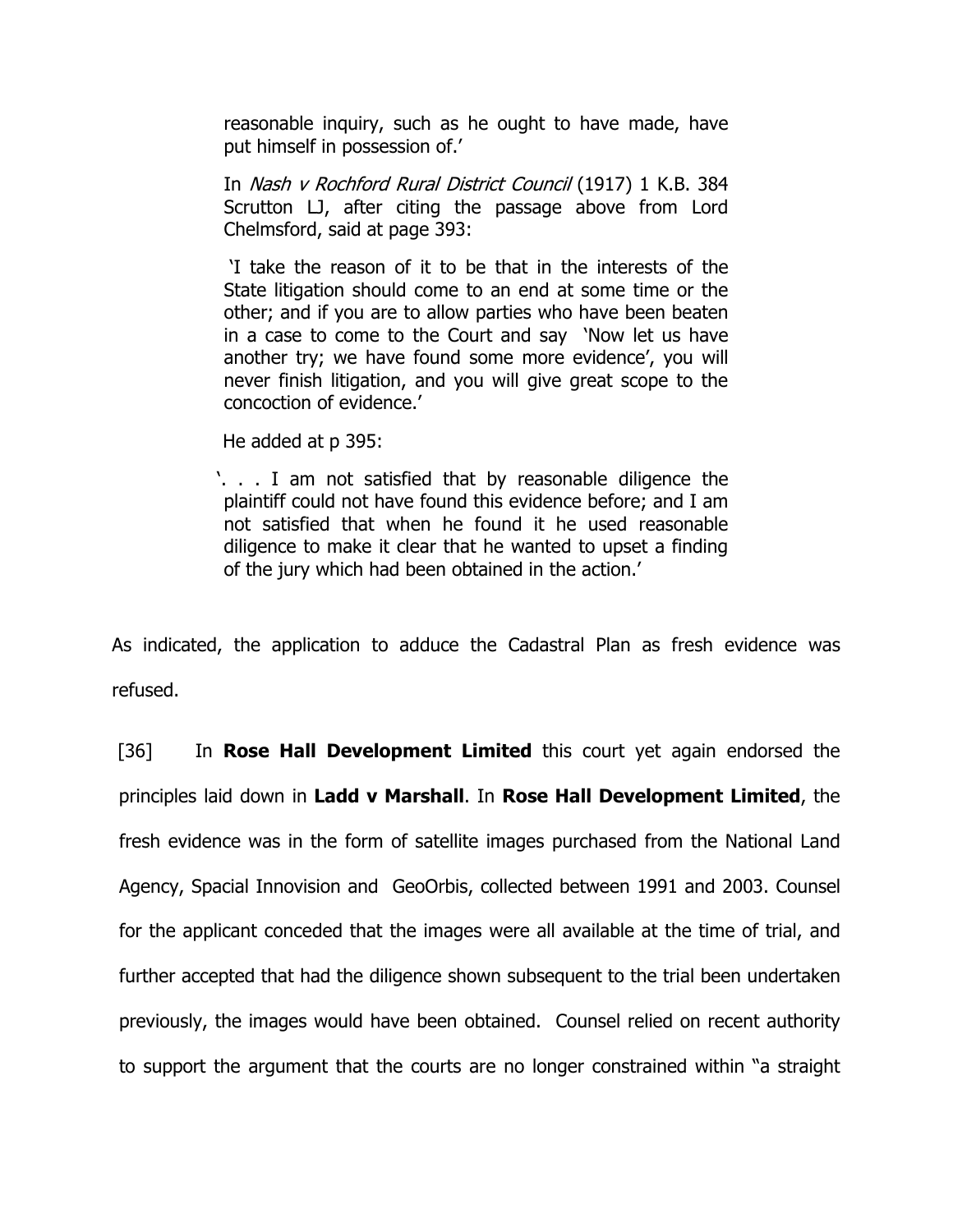reasonable inquiry, such as he ought to have made, have put himself in possession of.'

In Nash v Rochford Rural District Council (1917) 1 K.B. 384 Scrutton LJ, after citing the passage above from Lord Chelmsford, said at page 393:

 'I take the reason of it to be that in the interests of the State litigation should come to an end at some time or the other; and if you are to allow parties who have been beaten in a case to come to the Court and say 'Now let us have another try; we have found some more evidence', you will never finish litigation, and you will give great scope to the concoction of evidence.'

He added at p 395:

'. . . I am not satisfied that by reasonable diligence the plaintiff could not have found this evidence before; and I am not satisfied that when he found it he used reasonable diligence to make it clear that he wanted to upset a finding of the jury which had been obtained in the action.'

As indicated, the application to adduce the Cadastral Plan as fresh evidence was refused.

[36] In **Rose Hall Development Limited** this court yet again endorsed the principles laid down in Ladd v Marshall. In Rose Hall Development Limited, the fresh evidence was in the form of satellite images purchased from the National Land Agency, Spacial Innovision and GeoOrbis, collected between 1991 and 2003. Counsel for the applicant conceded that the images were all available at the time of trial, and further accepted that had the diligence shown subsequent to the trial been undertaken previously, the images would have been obtained. Counsel relied on recent authority to support the argument that the courts are no longer constrained within "a straight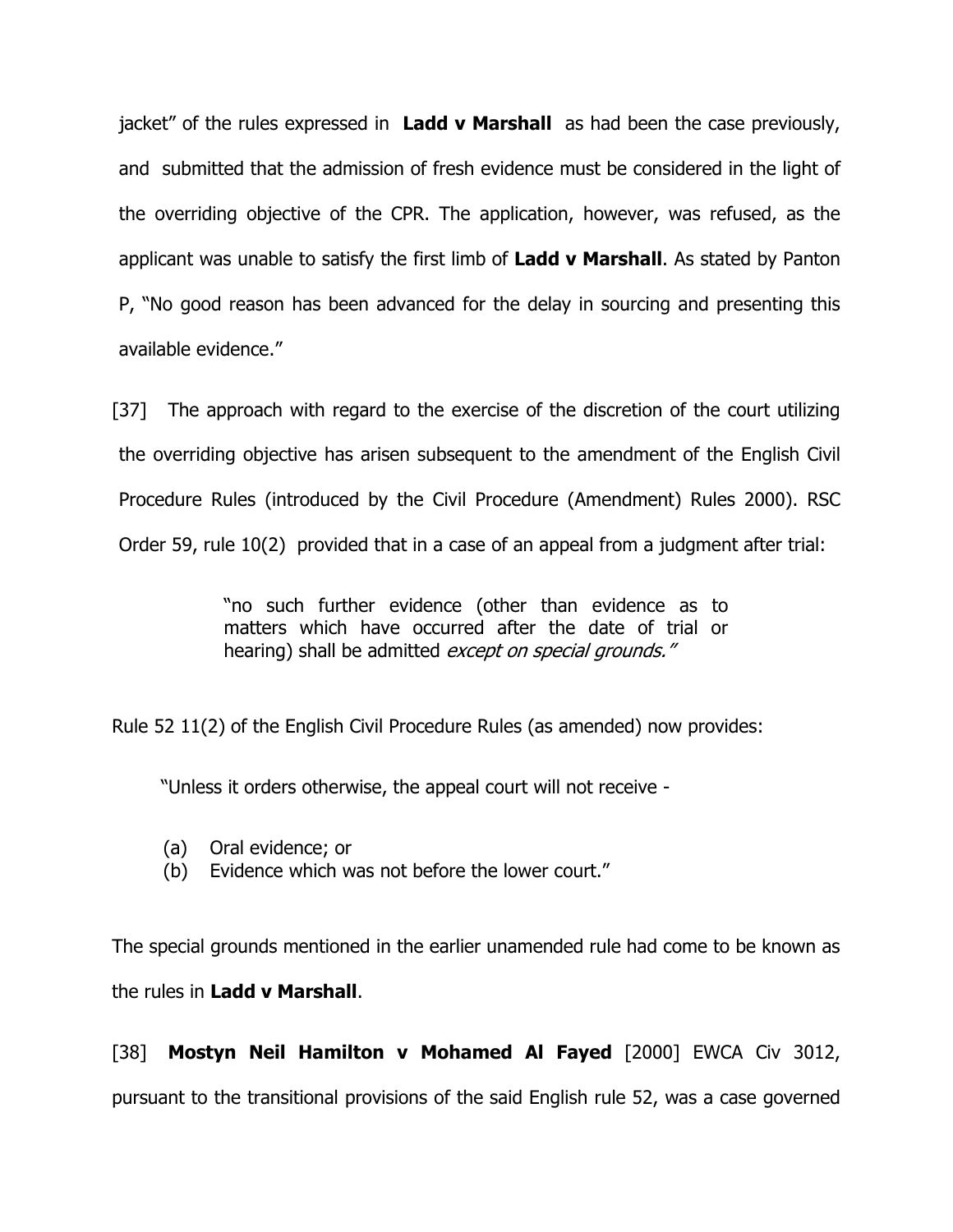jacket" of the rules expressed in Ladd v Marshall as had been the case previously, and submitted that the admission of fresh evidence must be considered in the light of the overriding objective of the CPR. The application, however, was refused, as the applicant was unable to satisfy the first limb of Ladd v Marshall. As stated by Panton P, "No good reason has been advanced for the delay in sourcing and presenting this available evidence."

[37] The approach with regard to the exercise of the discretion of the court utilizing the overriding objective has arisen subsequent to the amendment of the English Civil Procedure Rules (introduced by the Civil Procedure (Amendment) Rules 2000). RSC Order 59, rule 10(2) provided that in a case of an appeal from a judgment after trial:

> "no such further evidence (other than evidence as to matters which have occurred after the date of trial or hearing) shall be admitted except on special grounds."

Rule 52 11(2) of the English Civil Procedure Rules (as amended) now provides:

"Unless it orders otherwise, the appeal court will not receive -

- (a) Oral evidence; or
- (b) Evidence which was not before the lower court."

The special grounds mentioned in the earlier unamended rule had come to be known as the rules in Ladd v Marshall.

[38] Mostyn Neil Hamilton v Mohamed Al Fayed [2000] EWCA Civ 3012, pursuant to the transitional provisions of the said English rule 52, was a case governed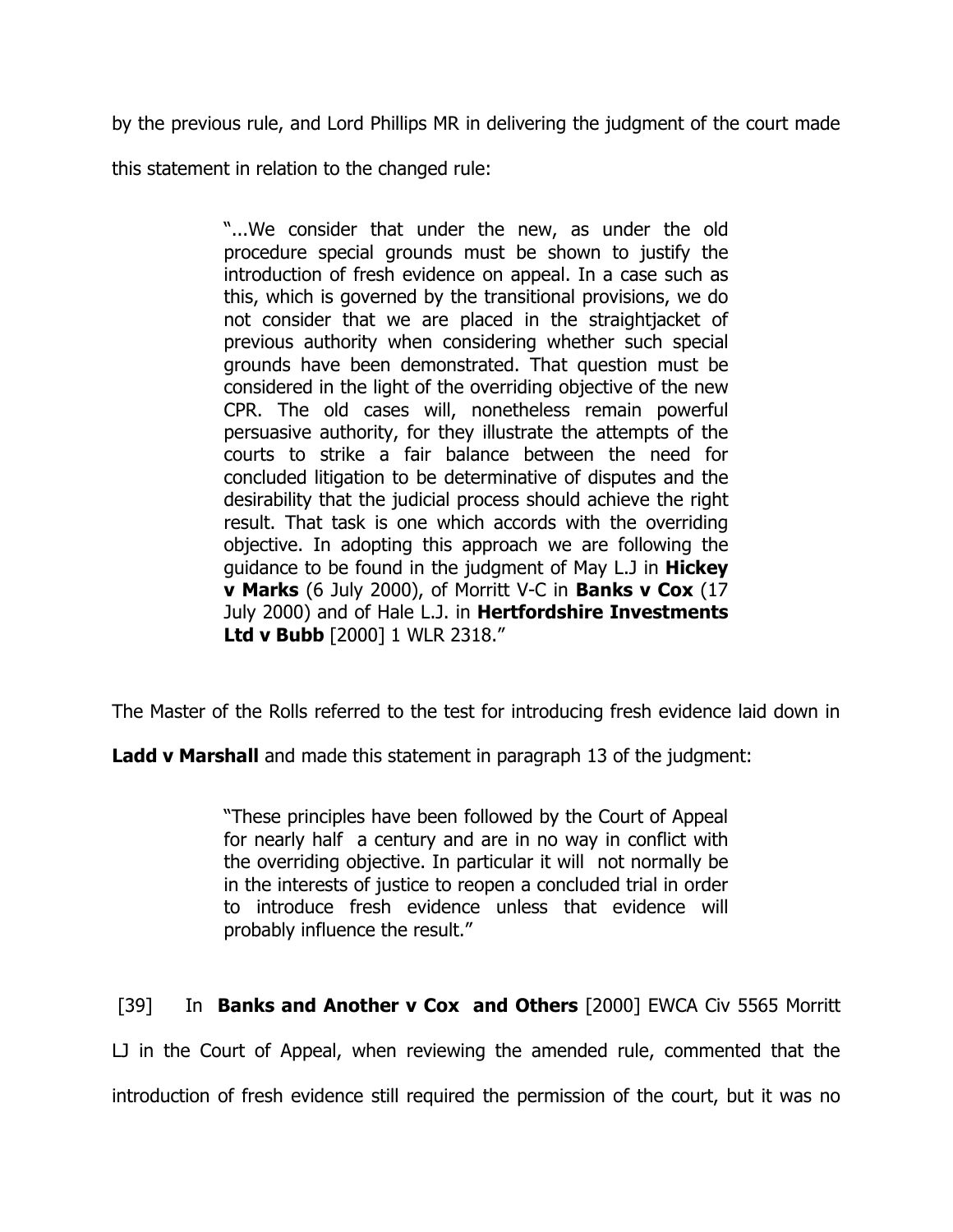by the previous rule, and Lord Phillips MR in delivering the judgment of the court made

this statement in relation to the changed rule:

"...We consider that under the new, as under the old procedure special grounds must be shown to justify the introduction of fresh evidence on appeal. In a case such as this, which is governed by the transitional provisions, we do not consider that we are placed in the straightjacket of previous authority when considering whether such special grounds have been demonstrated. That question must be considered in the light of the overriding objective of the new CPR. The old cases will, nonetheless remain powerful persuasive authority, for they illustrate the attempts of the courts to strike a fair balance between the need for concluded litigation to be determinative of disputes and the desirability that the judicial process should achieve the right result. That task is one which accords with the overriding objective. In adopting this approach we are following the guidance to be found in the judgment of May L.J in Hickey v Marks (6 July 2000), of Morritt V-C in Banks v Cox (17 July 2000) and of Hale L.J. in Hertfordshire Investments Ltd v Bubb [2000] 1 WLR 2318."

The Master of the Rolls referred to the test for introducing fresh evidence laid down in

**Ladd v Marshall** and made this statement in paragraph 13 of the judgment:

"These principles have been followed by the Court of Appeal for nearly half a century and are in no way in conflict with the overriding objective. In particular it will not normally be in the interests of justice to reopen a concluded trial in order to introduce fresh evidence unless that evidence will probably influence the result."

[39] In **Banks and Another v Cox and Others** [2000] EWCA Civ 5565 Morritt

LJ in the Court of Appeal, when reviewing the amended rule, commented that the

introduction of fresh evidence still required the permission of the court, but it was no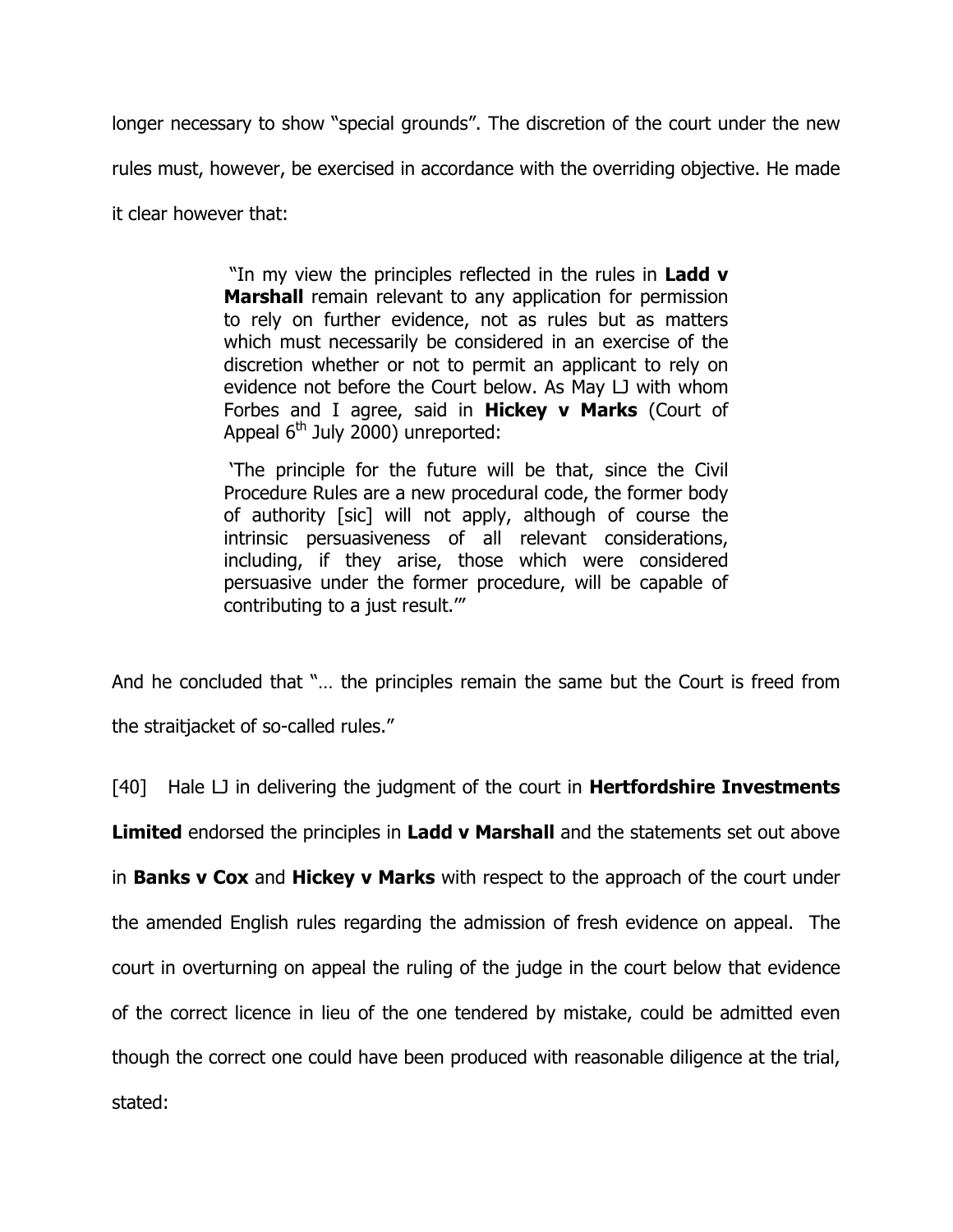longer necessary to show "special grounds". The discretion of the court under the new rules must, however, be exercised in accordance with the overriding objective. He made

it clear however that:

"In my view the principles reflected in the rules in Ladd **v** Marshall remain relevant to any application for permission to rely on further evidence, not as rules but as matters which must necessarily be considered in an exercise of the discretion whether or not to permit an applicant to rely on evidence not before the Court below. As May LJ with whom Forbes and I agree, said in Hickey v Marks (Court of Appeal  $6<sup>th</sup>$  July 2000) unreported:

 'The principle for the future will be that, since the Civil Procedure Rules are a new procedural code, the former body of authority [sic] will not apply, although of course the intrinsic persuasiveness of all relevant considerations, including, if they arise, those which were considered persuasive under the former procedure, will be capable of contributing to a just result.'"

And he concluded that "… the principles remain the same but the Court is freed from the straitjacket of so-called rules."

 $[40]$  Hale LJ in delivering the judgment of the court in **Hertfordshire Investments** 

Limited endorsed the principles in Ladd v Marshall and the statements set out above

in **Banks v Cox** and **Hickey v Marks** with respect to the approach of the court under the amended English rules regarding the admission of fresh evidence on appeal. The court in overturning on appeal the ruling of the judge in the court below that evidence of the correct licence in lieu of the one tendered by mistake, could be admitted even though the correct one could have been produced with reasonable diligence at the trial, stated: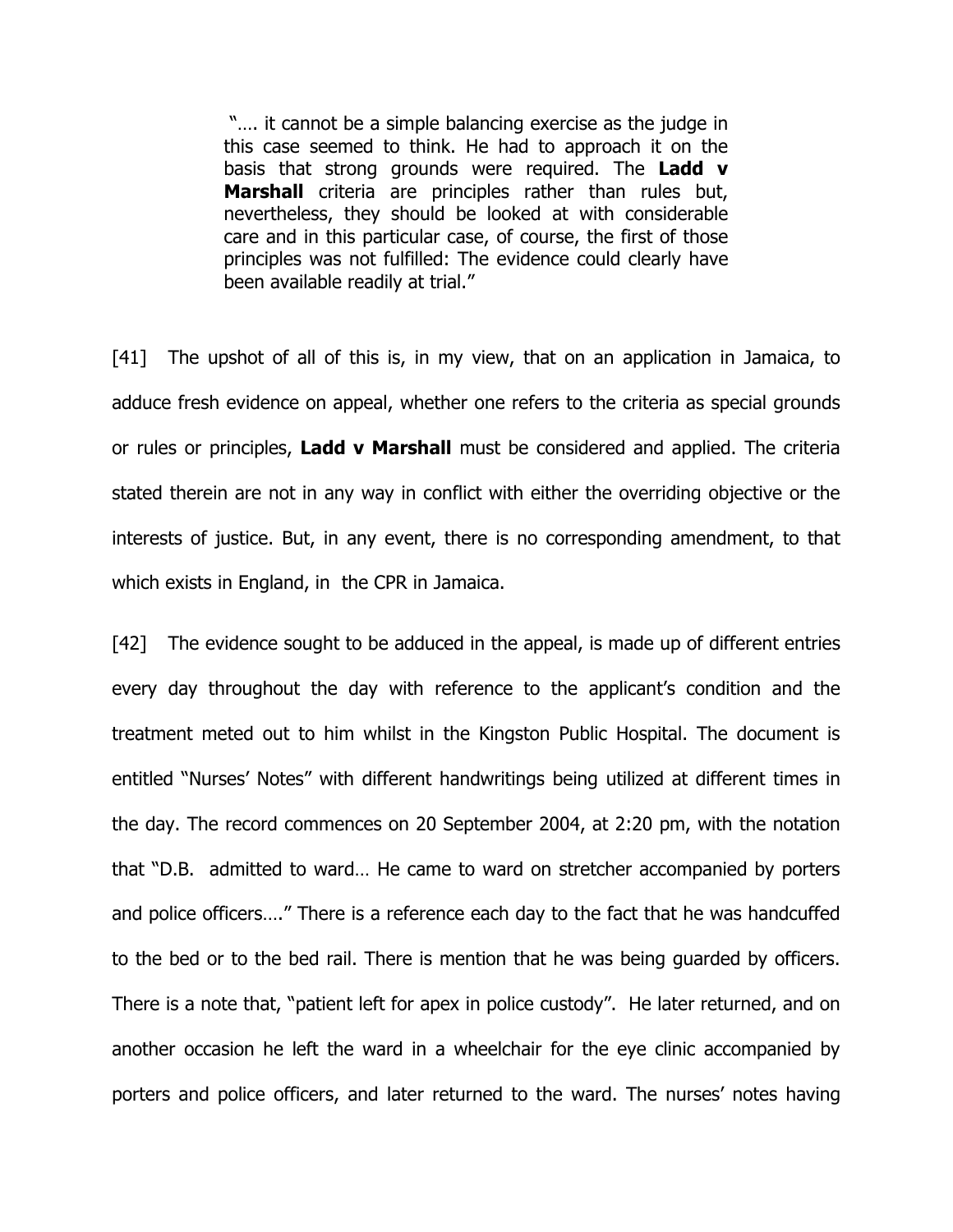"…. it cannot be a simple balancing exercise as the judge in this case seemed to think. He had to approach it on the basis that strong grounds were required. The Ladd v Marshall criteria are principles rather than rules but, nevertheless, they should be looked at with considerable care and in this particular case, of course, the first of those principles was not fulfilled: The evidence could clearly have been available readily at trial."

[41] The upshot of all of this is, in my view, that on an application in Jamaica, to adduce fresh evidence on appeal, whether one refers to the criteria as special grounds or rules or principles, Ladd v Marshall must be considered and applied. The criteria stated therein are not in any way in conflict with either the overriding objective or the interests of justice. But, in any event, there is no corresponding amendment, to that which exists in England, in the CPR in Jamaica.

[42] The evidence sought to be adduced in the appeal, is made up of different entries every day throughout the day with reference to the applicant's condition and the treatment meted out to him whilst in the Kingston Public Hospital. The document is entitled "Nurses' Notes" with different handwritings being utilized at different times in the day. The record commences on 20 September 2004, at 2:20 pm, with the notation that "D.B. admitted to ward… He came to ward on stretcher accompanied by porters and police officers…." There is a reference each day to the fact that he was handcuffed to the bed or to the bed rail. There is mention that he was being guarded by officers. There is a note that, "patient left for apex in police custody". He later returned, and on another occasion he left the ward in a wheelchair for the eye clinic accompanied by porters and police officers, and later returned to the ward. The nurses' notes having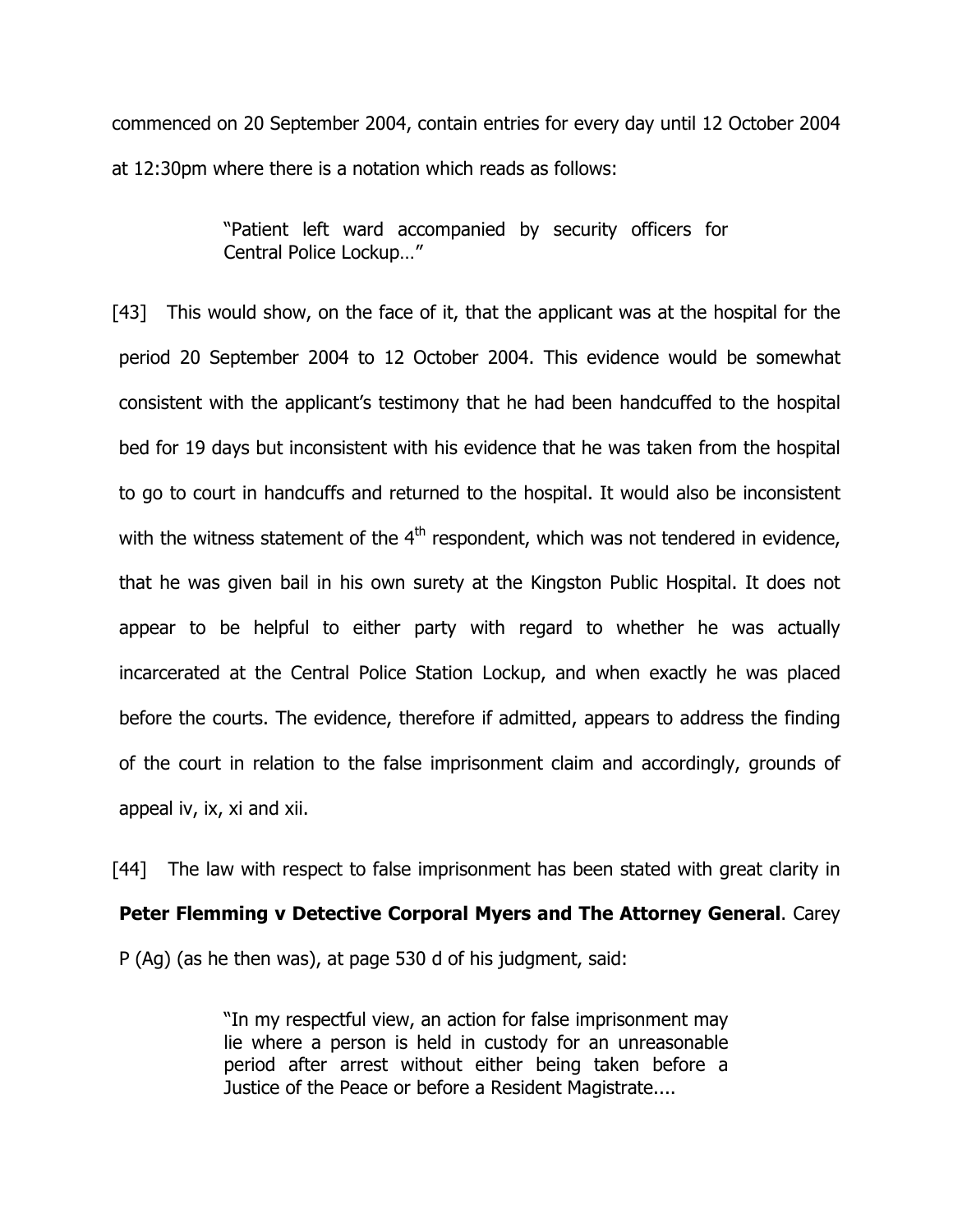commenced on 20 September 2004, contain entries for every day until 12 October 2004 at 12:30pm where there is a notation which reads as follows:

> "Patient left ward accompanied by security officers for Central Police Lockup…"

[43] This would show, on the face of it, that the applicant was at the hospital for the period 20 September 2004 to 12 October 2004. This evidence would be somewhat consistent with the applicant's testimony that he had been handcuffed to the hospital bed for 19 days but inconsistent with his evidence that he was taken from the hospital to go to court in handcuffs and returned to the hospital. It would also be inconsistent with the witness statement of the  $4<sup>th</sup>$  respondent, which was not tendered in evidence, that he was given bail in his own surety at the Kingston Public Hospital. It does not appear to be helpful to either party with regard to whether he was actually incarcerated at the Central Police Station Lockup, and when exactly he was placed before the courts. The evidence, therefore if admitted, appears to address the finding of the court in relation to the false imprisonment claim and accordingly, grounds of appeal iv, ix, xi and xii.

[44] The law with respect to false imprisonment has been stated with great clarity in Peter Flemming v Detective Corporal Myers and The Attorney General. Carey P (Ag) (as he then was), at page 530 d of his judgment, said:

> "In my respectful view, an action for false imprisonment may lie where a person is held in custody for an unreasonable period after arrest without either being taken before a Justice of the Peace or before a Resident Magistrate....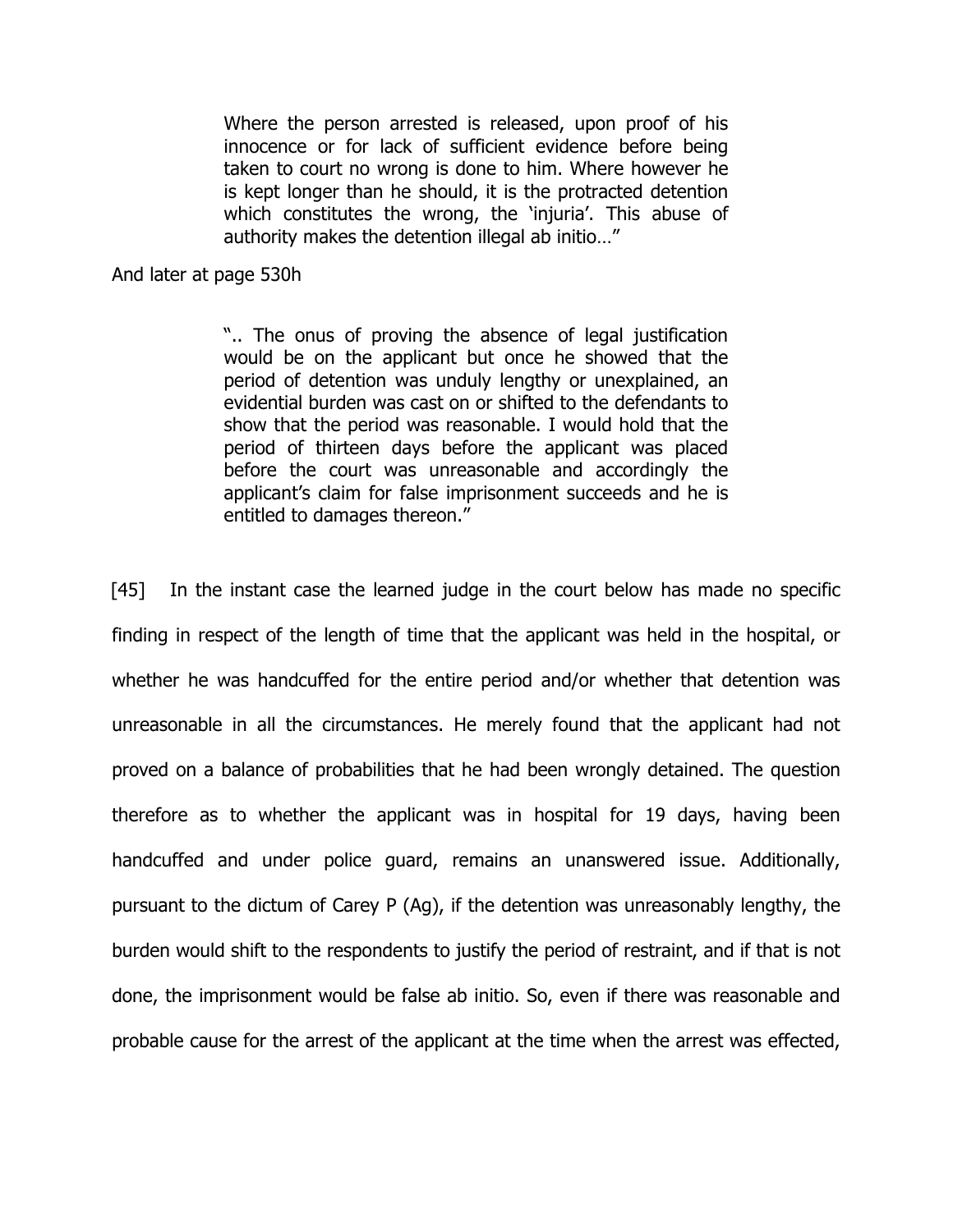Where the person arrested is released, upon proof of his innocence or for lack of sufficient evidence before being taken to court no wrong is done to him. Where however he is kept longer than he should, it is the protracted detention which constitutes the wrong, the 'injuria'. This abuse of authority makes the detention illegal ab initio…"

And later at page 530h

".. The onus of proving the absence of legal justification would be on the applicant but once he showed that the period of detention was unduly lengthy or unexplained, an evidential burden was cast on or shifted to the defendants to show that the period was reasonable. I would hold that the period of thirteen days before the applicant was placed before the court was unreasonable and accordingly the applicant's claim for false imprisonment succeeds and he is entitled to damages thereon."

[45] In the instant case the learned judge in the court below has made no specific finding in respect of the length of time that the applicant was held in the hospital, or whether he was handcuffed for the entire period and/or whether that detention was unreasonable in all the circumstances. He merely found that the applicant had not proved on a balance of probabilities that he had been wrongly detained. The question therefore as to whether the applicant was in hospital for 19 days, having been handcuffed and under police guard, remains an unanswered issue. Additionally, pursuant to the dictum of Carey P (Ag), if the detention was unreasonably lengthy, the burden would shift to the respondents to justify the period of restraint, and if that is not done, the imprisonment would be false ab initio. So, even if there was reasonable and probable cause for the arrest of the applicant at the time when the arrest was effected,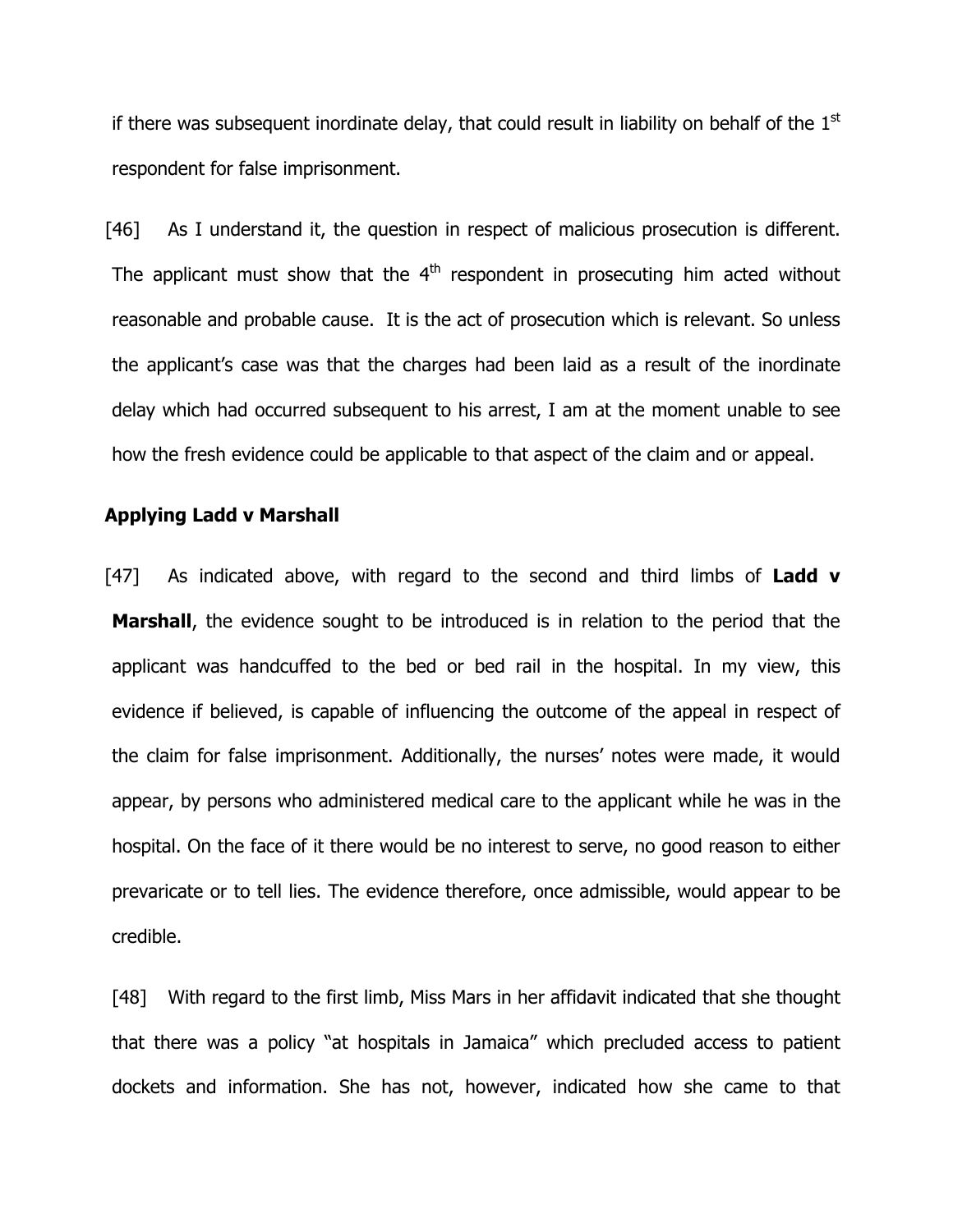if there was subsequent inordinate delay, that could result in liability on behalf of the  $1<sup>st</sup>$ respondent for false imprisonment.

[46] As I understand it, the question in respect of malicious prosecution is different. The applicant must show that the  $4<sup>th</sup>$  respondent in prosecuting him acted without reasonable and probable cause. It is the act of prosecution which is relevant. So unless the applicant's case was that the charges had been laid as a result of the inordinate delay which had occurred subsequent to his arrest, I am at the moment unable to see how the fresh evidence could be applicable to that aspect of the claim and or appeal.

## Applying Ladd v Marshall

[47] As indicated above, with regard to the second and third limbs of **Ladd v Marshall**, the evidence sought to be introduced is in relation to the period that the applicant was handcuffed to the bed or bed rail in the hospital. In my view, this evidence if believed, is capable of influencing the outcome of the appeal in respect of the claim for false imprisonment. Additionally, the nurses' notes were made, it would appear, by persons who administered medical care to the applicant while he was in the hospital. On the face of it there would be no interest to serve, no good reason to either prevaricate or to tell lies. The evidence therefore, once admissible, would appear to be credible.

[48] With regard to the first limb, Miss Mars in her affidavit indicated that she thought that there was a policy "at hospitals in Jamaica" which precluded access to patient dockets and information. She has not, however, indicated how she came to that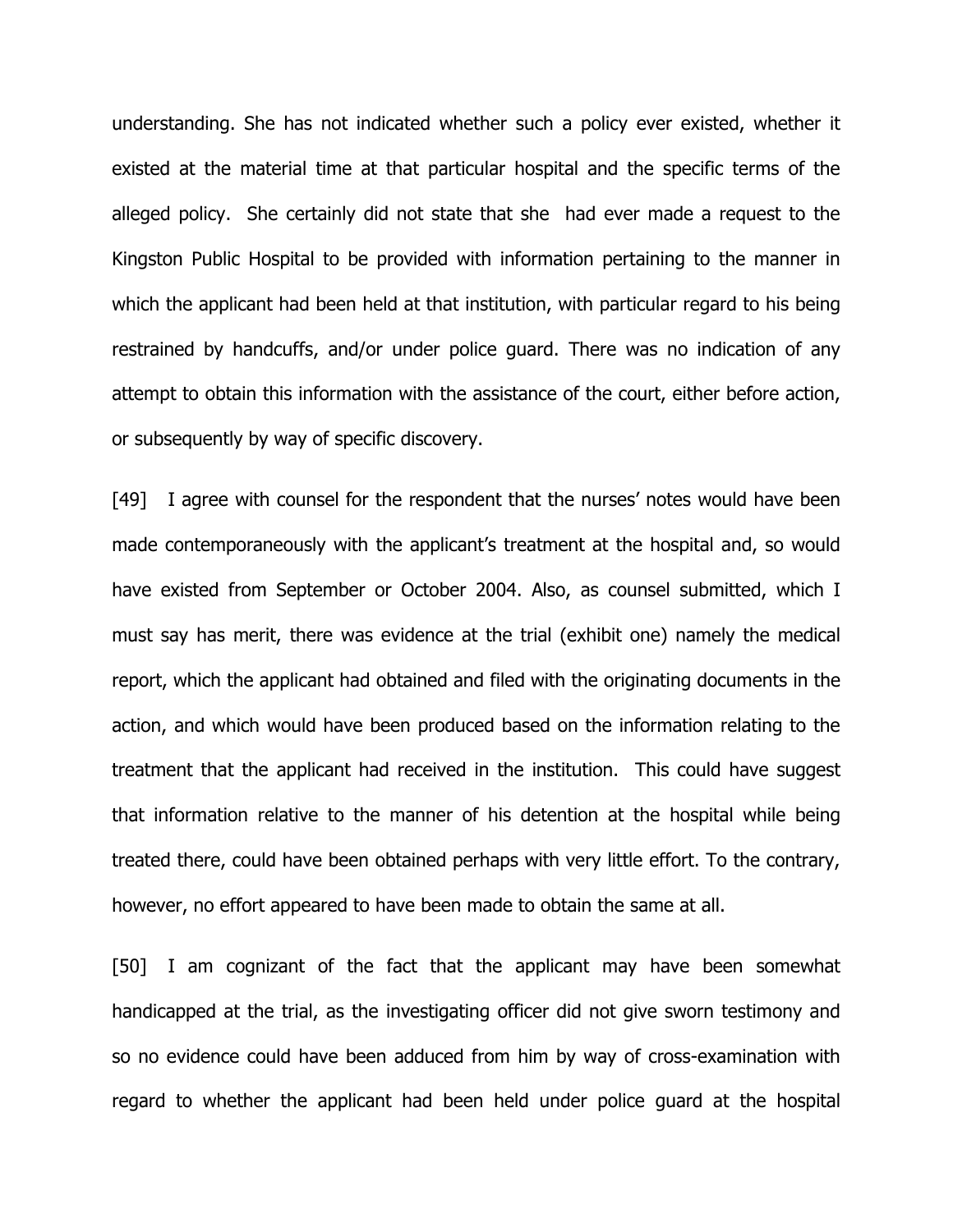understanding. She has not indicated whether such a policy ever existed, whether it existed at the material time at that particular hospital and the specific terms of the alleged policy. She certainly did not state that she had ever made a request to the Kingston Public Hospital to be provided with information pertaining to the manner in which the applicant had been held at that institution, with particular regard to his being restrained by handcuffs, and/or under police guard. There was no indication of any attempt to obtain this information with the assistance of the court, either before action, or subsequently by way of specific discovery.

[49] I agree with counsel for the respondent that the nurses' notes would have been made contemporaneously with the applicant's treatment at the hospital and, so would have existed from September or October 2004. Also, as counsel submitted, which I must say has merit, there was evidence at the trial (exhibit one) namely the medical report, which the applicant had obtained and filed with the originating documents in the action, and which would have been produced based on the information relating to the treatment that the applicant had received in the institution. This could have suggest that information relative to the manner of his detention at the hospital while being treated there, could have been obtained perhaps with very little effort. To the contrary, however, no effort appeared to have been made to obtain the same at all.

[50] I am cognizant of the fact that the applicant may have been somewhat handicapped at the trial, as the investigating officer did not give sworn testimony and so no evidence could have been adduced from him by way of cross-examination with regard to whether the applicant had been held under police guard at the hospital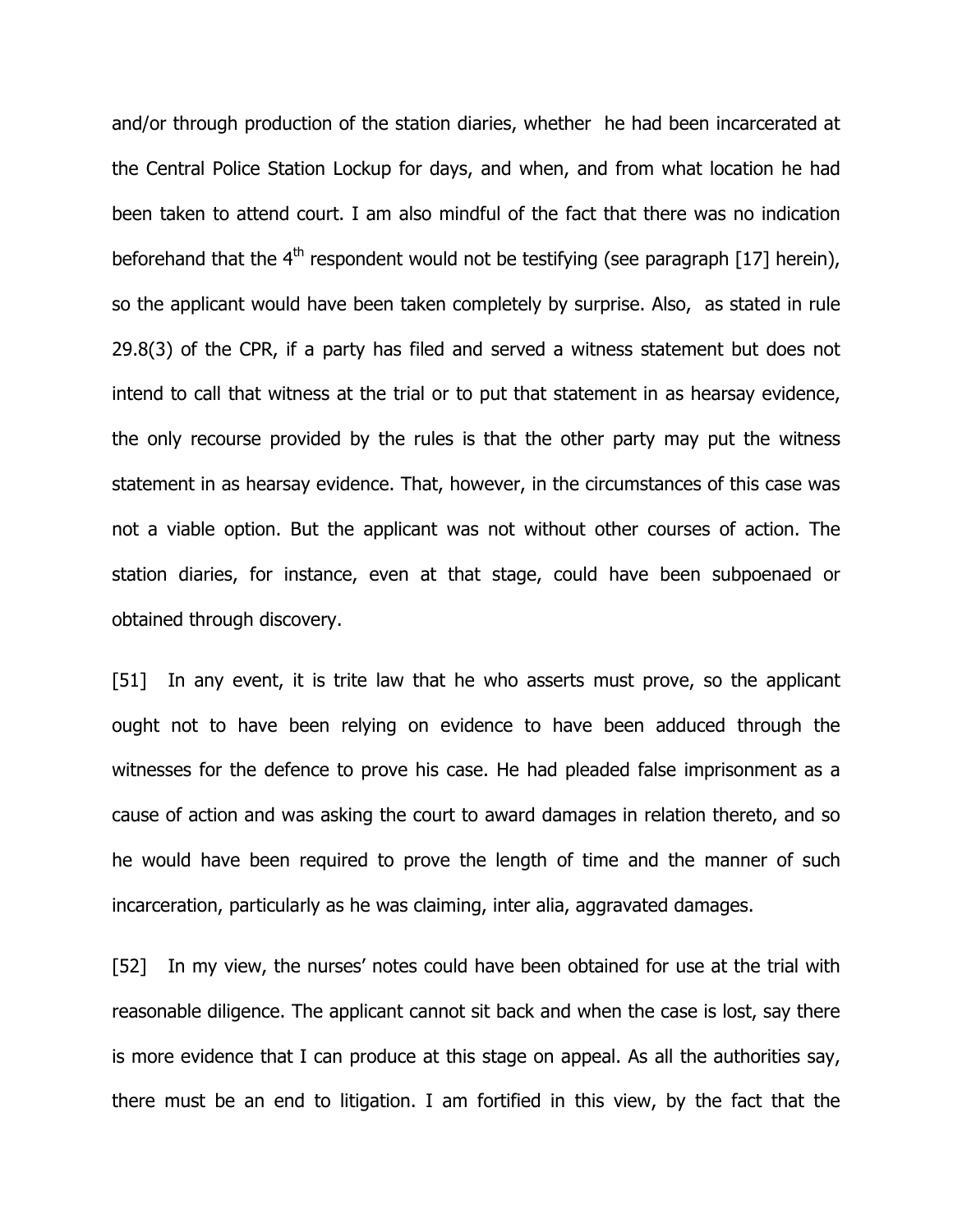and/or through production of the station diaries, whether he had been incarcerated at the Central Police Station Lockup for days, and when, and from what location he had been taken to attend court. I am also mindful of the fact that there was no indication beforehand that the  $4<sup>th</sup>$  respondent would not be testifying (see paragraph [17] herein), so the applicant would have been taken completely by surprise. Also, as stated in rule 29.8(3) of the CPR, if a party has filed and served a witness statement but does not intend to call that witness at the trial or to put that statement in as hearsay evidence, the only recourse provided by the rules is that the other party may put the witness statement in as hearsay evidence. That, however, in the circumstances of this case was not a viable option. But the applicant was not without other courses of action. The station diaries, for instance, even at that stage, could have been subpoenaed or obtained through discovery.

[51] In any event, it is trite law that he who asserts must prove, so the applicant ought not to have been relying on evidence to have been adduced through the witnesses for the defence to prove his case. He had pleaded false imprisonment as a cause of action and was asking the court to award damages in relation thereto, and so he would have been required to prove the length of time and the manner of such incarceration, particularly as he was claiming, inter alia, aggravated damages.

[52] In my view, the nurses' notes could have been obtained for use at the trial with reasonable diligence. The applicant cannot sit back and when the case is lost, say there is more evidence that I can produce at this stage on appeal. As all the authorities say, there must be an end to litigation. I am fortified in this view, by the fact that the